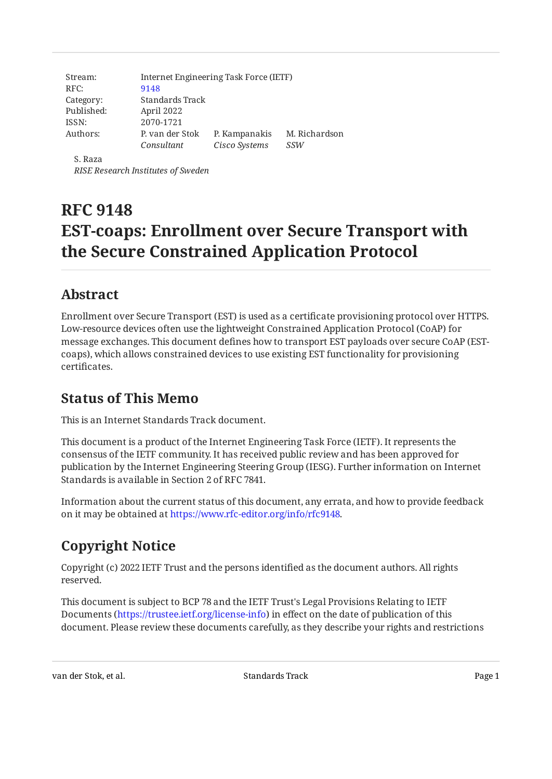| Stream:    | Internet Engineering Task Force (IETF) |               |               |
|------------|----------------------------------------|---------------|---------------|
| RFC:       | 9148                                   |               |               |
| Category:  | Standards Track                        |               |               |
| Published: | April 2022                             |               |               |
| ISSN:      | 2070-1721                              |               |               |
| Authors:   | P, van der Stok                        | P. Kampanakis | M. Richardson |
|            | Consultant                             | Cisco Systems | SSW           |
| S. Raza    |                                        |               |               |

*RISE Research Institutes of Sweden*

# **RFC 9148 EST-coaps: Enrollment over Secure Transport with the Secure Constrained Application Protocol**

## <span id="page-0-0"></span>**[Abstract](#page-0-0)**

Enrollment over Secure Transport (EST) is used as a certificate provisioning protocol over HTTPS. Low-resource devices often use the lightweight Constrained Application Protocol (CoAP) for message exchanges. This document defines how to transport EST payloads over secure CoAP (ESTcoaps), which allows constrained devices to use existing EST functionality for provisioning certificates.

## <span id="page-0-1"></span>**[Status of This Memo](#page-0-1)**

This is an Internet Standards Track document.

This document is a product of the Internet Engineering Task Force (IETF). It represents the consensus of the IETF community. It has received public review and has been approved for publication by the Internet Engineering Steering Group (IESG). Further information on Internet Standards is available in Section 2 of RFC 7841.

Information about the current status of this document, any errata, and how to provide feedback on it may be obtained at [https://www.rfc-editor.org/info/rfc9148.](https://www.rfc-editor.org/info/rfc9148)

# <span id="page-0-2"></span>**[Copyright Notice](#page-0-2)**

Copyright (c) 2022 IETF Trust and the persons identified as the document authors. All rights reserved.

This document is subject to BCP 78 and the IETF Trust's Legal Provisions Relating to IETF Documents (<https://trustee.ietf.org/license-info>) in effect on the date of publication of this document. Please review these documents carefully, as they describe your rights and restrictions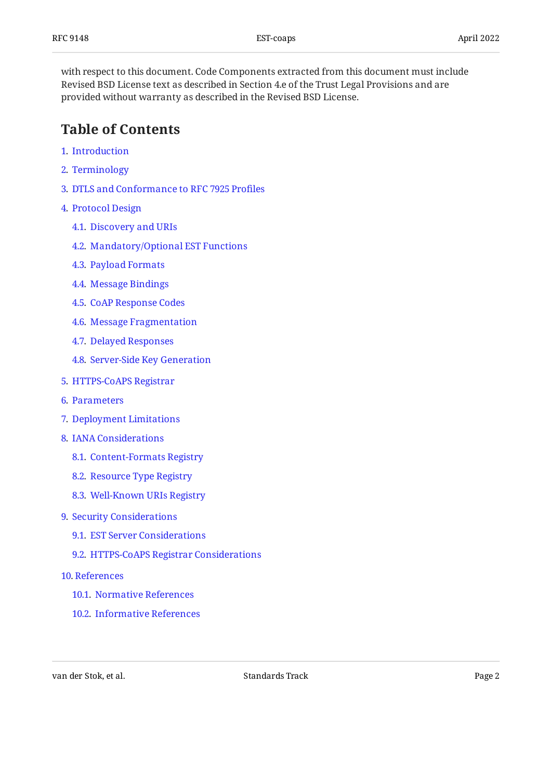with respect to this document. Code Components extracted from this document must include Revised BSD License text as described in Section 4.e of the Trust Legal Provisions and are provided without warranty as described in the Revised BSD License.

### <span id="page-1-0"></span>**[Table of Contents](#page-1-0)**

- [1](#page-2-0). [Introduction](#page-2-0)
- [2](#page-3-0). [Terminology](#page-3-0)
- [3](#page-3-1). [DTLS and Conformance to RFC 7925 Pro](#page-3-1)files
- [4](#page-5-0). [Protocol Design](#page-5-0)
	- [4.1.](#page-5-1) [Discovery and URIs](#page-5-1)
	- [4.2.](#page-7-0) [Mandatory/Optional EST Functions](#page-7-0)
	- [4.3.](#page-8-0) [Payload Formats](#page-8-0)
	- [4.4.](#page-9-0) [Message Bindings](#page-9-0)
	- [4.5.](#page-10-0) [CoAP Response Codes](#page-10-0)
	- [4.6.](#page-11-0) [Message Fragmentation](#page-11-0)
	- [4.7.](#page-11-1) [Delayed Responses](#page-11-1)
	- [4.8.](#page-13-0) [Server-Side Key Generation](#page-13-0)
- [5](#page-15-0). [HTTPS-CoAPS Registrar](#page-15-0)
- [6](#page-16-0). [Parameters](#page-16-0)
- [7](#page-17-0). [Deployment Limitations](#page-17-0)
- [8](#page-17-1). [IANA Considerations](#page-17-1)
	- [8.1.](#page-17-2) [Content-Formats Registry](#page-17-2)
	- [8.2.](#page-17-3) [Resource Type Registry](#page-17-3)
	- [8.3.](#page-18-0) [Well-Known URIs Registry](#page-18-0)
- [9](#page-18-1). [Security Considerations](#page-18-1)
	- [9.1.](#page-18-2) [EST Server Considerations](#page-18-2)
	- [9.2.](#page-20-0) [HTTPS-CoAPS Registrar Considerations](#page-20-0)
- [10](#page-20-1). [References](#page-20-1)
	- [10.1.](#page-20-2) [Normative References](#page-20-2)
	- [10.2.](#page-22-0) [Informative References](#page-22-0)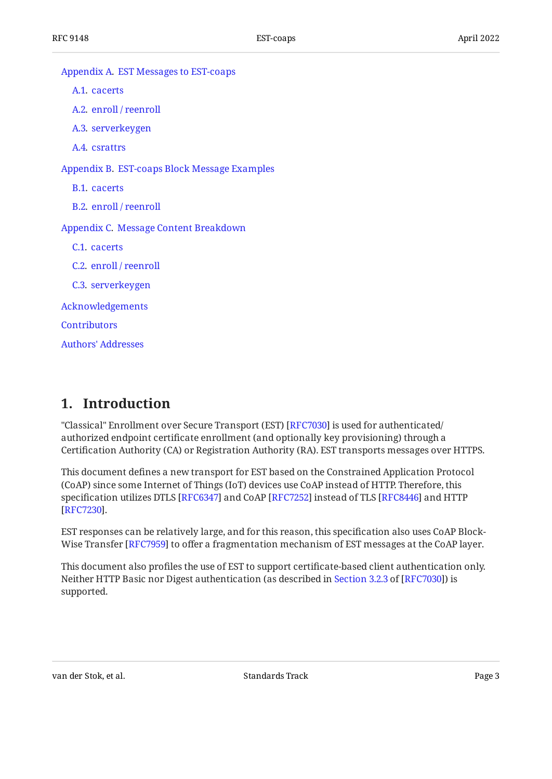| Appendix A. EST Messages to EST-coaps        |
|----------------------------------------------|
| A.1. cacerts                                 |
| A.2. enroll / reenroll                       |
| A.3. serverkeygen                            |
| A.4. csrattrs                                |
| Appendix B. EST-coaps Block Message Examples |
| B.1. cacerts                                 |
| B.2. enroll / reenroll                       |
| Appendix C. Message Content Breakdown        |
| C.1. cacerts                                 |
| C.2. enroll / reenroll                       |
| C.3. serverkeygen                            |
| Acknowledgements                             |
| <b>Contributors</b>                          |
| <b>Authors' Addresses</b>                    |
|                                              |

### <span id="page-2-0"></span>**[1. Introduction](#page-2-0)**

"Classical" Enrollment over Secure Transport (EST) [RFC7030] is used for authenticated/ authorized endpoint certificate enrollment (and optionally key provisioning) through a Certification Authority (CA) or Registration Authority (RA). EST transports messages over HTTPS.

This document defines a new transport for EST based on the Constrained Application Protocol (CoAP) since some Internet of Things (IoT) devices use CoAP instead of HTTP. Therefore, this specification utilizes DTLS [[RFC6347\]](#page-21-1) and CoAP [\[RFC7252\]](#page-21-2) instead of TLS [[RFC8446\]](#page-22-1) and HTTP . [[RFC7230\]](#page-23-0)

EST responses can be relatively large, and for this reason, this specification also uses CoAP Block-Wise Transfer [RFC7959] to offer a fragmentation mechanism of EST messages at the CoAP layer.

This document also profiles the use of EST to support certificate-based client authentication only. NeitherHTTP Basic nor Digest authentication (as described in Section 3.2.3 of [RFC7030]) is supported.

van der Stok, et al. November 1988 standards Track Page 3 and 2011 van der Stok, et al.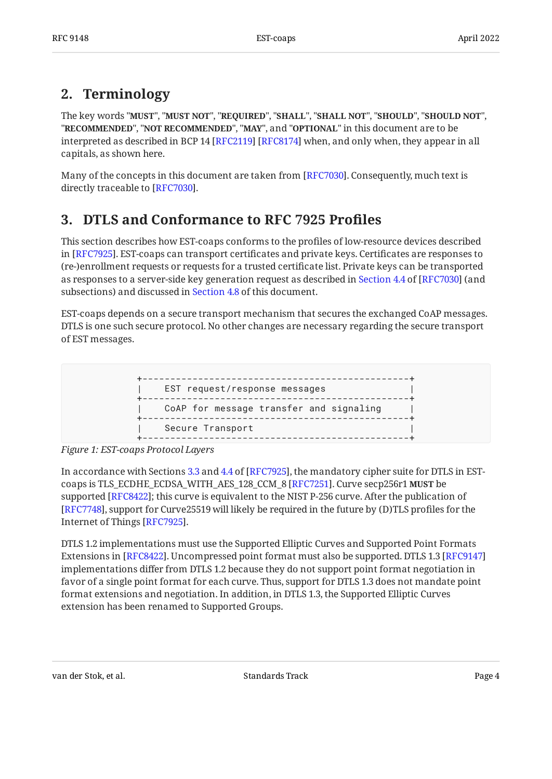## <span id="page-3-0"></span>**[2. Terminology](#page-3-0)**

The key words "MUST", "MUST NOT", "REQUIRED", "SHALL", "SHALL NOT", "SHOULD", "SHOULD NOT", "**RECOMMENDED", "NOT RECOMMENDED", "MAY",** and "OPTIONAL" in this document are to be interpreted as described in BCP 14 [RFC2119] [RFC8174] when, and only when, they appear in all capitals, as shown here.

<span id="page-3-1"></span>Many of the concepts in this document are taken from [RFC7030]. Consequently, much text is directly traceable to [RFC7030].

## **[3. DTLS and Conformance to RFC 7925 Pro](#page-3-1)files**

This section describes how EST-coaps conforms to the profiles of low-resource devices described in [RFC7925]. EST-coaps can transport certificates and private keys. Certificates are responses to (re-)enrollment requests or requests for a trusted certificate list. Private keys can be transported asresponses to a server-side key generation request as described in Section 4.4 of [RFC7030] (and subsections) and discussed in [Section 4.8](#page-13-0) of this document.

<span id="page-3-2"></span>EST-coaps depends on a secure transport mechanism that secures the exchanged CoAP messages. DTLS is one such secure protocol. No other changes are necessary regarding the secure transport of EST messages.

```
+------------------------------------------------+
| EST request/response messages |
    +------------------------------------------------+
| CoAP for message transfer and signaling |
          +------------------------------------------------+
| Secure Transport |
                     +------------------------------------------------+
```
*[Figure 1: EST-coaps Protocol Layers](#page-3-2)* 

In accordance with Sections [3.3](https://www.rfc-editor.org/rfc/rfc7925#section-3.3) and [4.4](https://www.rfc-editor.org/rfc/rfc7925#section-4.4) of [RFC7925], the mandatory cipher suite for DTLS in EST-coaps is TLS\_ECDHE\_ECDSA\_WITH\_AES\_128\_CCM\_8 [[RFC7251\]](#page-23-1). Curve secp256r1 **MUST** be supported [RFC8422]; this curve is equivalent to the NIST P-256 curve. After the publication of [[RFC7748\]](#page-23-2), support for Curve25519 will likely be required in the future by (D)TLS profiles for the Internet of Things [\[RFC7925](#page-21-6)].

DTLS 1.2 implementations must use the Supported Elliptic Curves and Supported Point Formats Extensions in [\[RFC8422](#page-22-2)]. Uncompressed point format must also be supported. DTLS 1.3 [[RFC9147\]](#page-22-3) implementations differ from DTLS 1.2 because they do not support point format negotiation in favor of a single point format for each curve. Thus, support for DTLS 1.3 does not mandate point format extensions and negotiation. In addition, in DTLS 1.3, the Supported Elliptic Curves extension has been renamed to Supported Groups.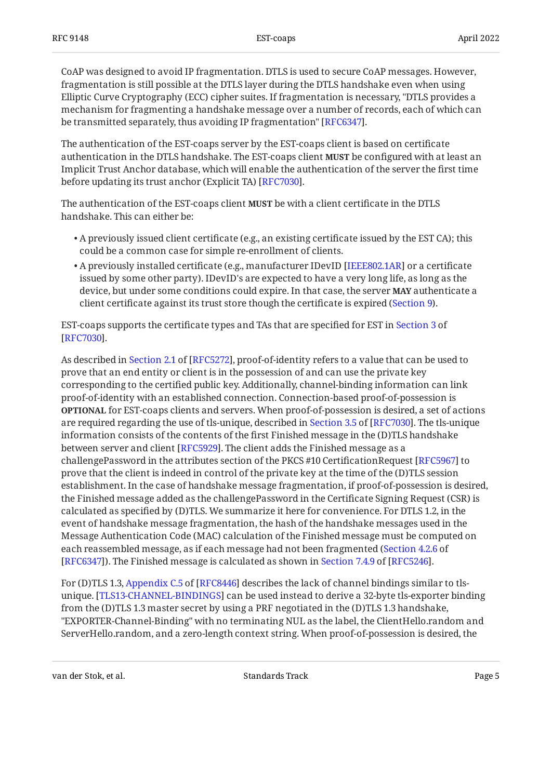CoAP was designed to avoid IP fragmentation. DTLS is used to secure CoAP messages. However, fragmentation is still possible at the DTLS layer during the DTLS handshake even when using Elliptic Curve Cryptography (ECC) cipher suites. If fragmentation is necessary, "DTLS provides a mechanism for fragmenting a handshake message over a number of records, each of which can be transmitted separately, thus avoiding IP fragmentation" [\[RFC6347\]](#page-21-1).

The authentication of the EST-coaps server by the EST-coaps client is based on certificate authentication in the DTLS handshake. The EST-coaps client **MUST** be configured with at least an Implicit Trust Anchor database, which will enable the authentication of the server the first time before updating its trust anchor (Explicit TA) [RFC7030].

The authentication of the EST-coaps client **MUST** be with a client certificate in the DTLS handshake. This can either be:

- $\bullet$  A previously issued client certificate (e.g., an existing certificate issued by the EST CA); this could be a common case for simple re-enrollment of clients.
- A previously installed certificate (e.g., manufacturer IDevID [IEEE802.1AR] or a certificate issued by some other party). IDevID's are expected to have a very long life, as long as the device, but under some conditions could expire. In that case, the server **MAY** authenticate a client certificate against its trust store though the certificate is expired [\(Section 9](#page-18-1)).

EST-coaps supports the certificate types and TAs that are specified for EST in [Section 3](https://www.rfc-editor.org/rfc/rfc7030#section-3) of . [[RFC7030\]](#page-21-0)

Asdescribed in Section 2.1 of [RFC5272], proof-of-identity refers to a value that can be used to prove that an end entity or client is in the possession of and can use the private key corresponding to the certified public key. Additionally, channel-binding information can link proof-of-identity with an established connection. Connection-based proof-of-possession is **OPTIONAL** for EST-coaps clients and servers. When proof-of-possession is desired, a set of actions arerequired regarding the use of tls-unique, described in Section 3.5 of [RFC7030]. The tls-unique information consists of the contents of the first Finished message in the (D)TLS handshake between server and client [RFC5929]. The client adds the Finished message as a challengePassword in the attributes section of the PKCS #10 CertificationRequest [\[RFC5967](#page-21-7)] to prove that the client is indeed in control of the private key at the time of the (D)TLS session establishment. In the case of handshake message fragmentation, if proof-of-possession is desired, the Finished message added as the challengePassword in the Certificate Signing Request (CSR) is calculated as specified by (D)TLS. We summarize it here for convenience. For DTLS 1.2, in the event of handshake message fragmentation, the hash of the handshake messages used in the Message Authentication Code (MAC) calculation of the Finished message must be computed on each reassembled message, as if each message had not been fragmented ( [Section 4.2.6](https://www.rfc-editor.org/rfc/rfc6347#section-4.2.6) of  $[{\rm RFC}6347]$  $[{\rm RFC}6347]$  $[{\rm RFC}6347]$ ). The Finished message is calculated as shown in Section 7.4.9 of  $[{\rm RFC}5246]$ .

For(D)TLS 1.3, Appendix C.5 of [RFC8446] describes the lack of channel bindings similar to tls-unique. [\[TLS13-CHANNEL-BINDINGS](#page-23-5)] can be used instead to derive a 32-byte tls-exporter binding from the (D)TLS 1.3 master secret by using a PRF negotiated in the (D)TLS 1.3 handshake, "EXPORTER-Channel-Binding" with no terminating NUL as the label, the ClientHello.random and ServerHello.random, and a zero-length context string. When proof-of-possession is desired, the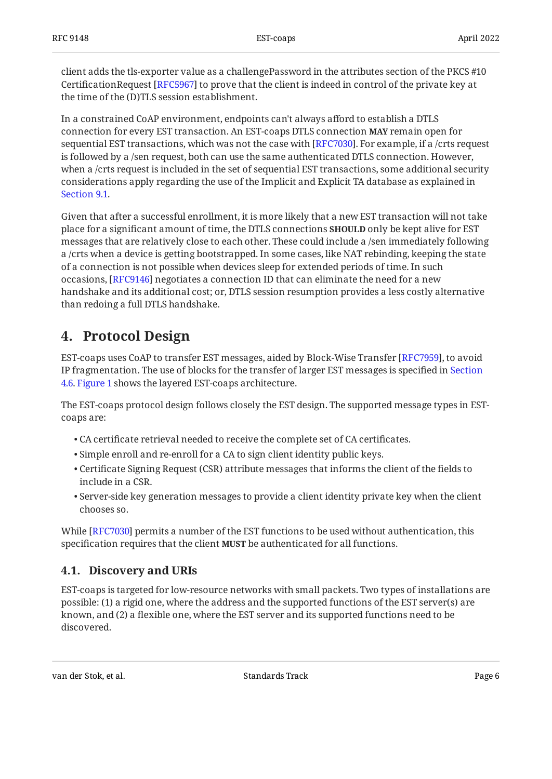client adds the tls-exporter value as a challengePassword in the attributes section of the PKCS #10 CertificationRequest [RFC5967] to prove that the client is indeed in control of the private key at the time of the (D)TLS session establishment.

In a constrained CoAP environment, endpoints can't always afford to establish a DTLS connection for every EST transaction. An EST-coaps DTLS connection **MAY** remain open for sequential EST transactions, which was not the case with [RFC7030]. For example, if a /crts request is followed by a /sen request, both can use the same authenticated DTLS connection. However, when a /crts request is included in the set of sequential EST transactions, some additional security considerations apply regarding the use of the Implicit and Explicit TA database as explained in [Section 9.1](#page-18-2).

Given that after a successful enrollment, it is more likely that a new EST transaction will not take place for a significant amount of time, the DTLS connections **SHOULD** only be kept alive for EST messages that are relatively close to each other. These could include a /sen immediately following a /crts when a device is getting bootstrapped. In some cases, like NAT rebinding, keeping the state of a connection is not possible when devices sleep for extended periods of time. In such occasions, [RFC9146] negotiates a connection ID that can eliminate the need for a new handshake and its additional cost; or, DTLS session resumption provides a less costly alternative than redoing a full DTLS handshake.

### <span id="page-5-0"></span>**[4. Protocol Design](#page-5-0)**

EST-coaps uses CoAP to transfer EST messages, aided by Block-Wise Transfer [\[RFC7959](#page-21-3)], to avoid IP fragmentation. The use of blocks for the transfer of larger EST messages is specified in [Section](#page-11-0) [4.6.](#page-11-0) [Figure 1](#page-3-2) shows the layered EST-coaps architecture.

The EST-coaps protocol design follows closely the EST design. The supported message types in ESTcoaps are:

- CA certificate retrieval needed to receive the complete set of CA certificates. •
- Simple enroll and re-enroll for a CA to sign client identity public keys. •
- $\bullet$  Certificate Signing Request (CSR) attribute messages that informs the client of the fields to include in a CSR.
- $\bullet$  Server-side key generation messages to provide a client identity private key when the client chooses so.

While [RFC7030] permits a number of the EST functions to be used without authentication, this specification requires that the client **MUST** be authenticated for all functions.

#### <span id="page-5-1"></span>**[4.1. Discovery and URIs](#page-5-1)**

EST-coaps is targeted for low-resource networks with small packets. Two types of installations are possible: (1) a rigid one, where the address and the supported functions of the EST server(s) are known, and (2) a flexible one, where the EST server and its supported functions need to be discovered.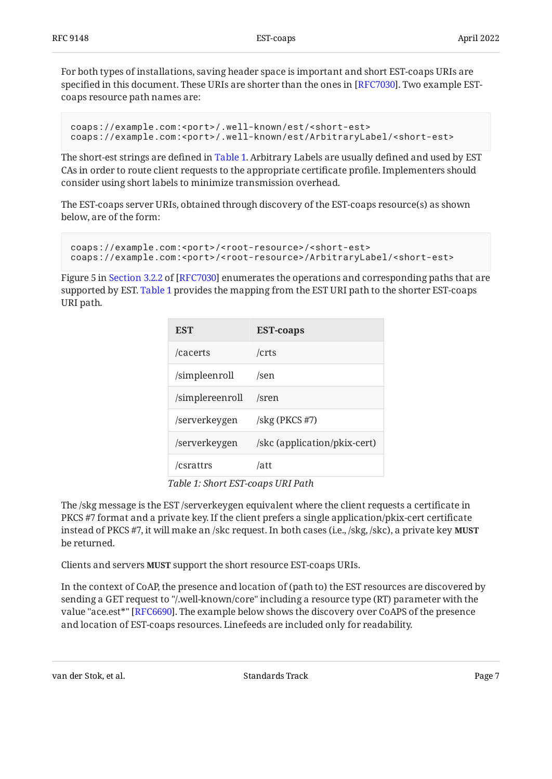For both types of installations, saving header space is important and short EST-coaps URIs are specified in this document. These URIs are shorter than the ones in [ $\rm RFC$ 7030]. Two example ESTcoaps resource path names are:

```
coaps://example.com:<port>/.well-known/est/<short-est>
coaps://example.com:<port>/.well-known/est/ArbitraryLabel/<short-est>
```
The short-est strings are defined in [Table 1.](#page-6-0) Arbitrary Labels are usually defined and used by EST CAs in order to route client requests to the appropriate certificate profile. Implementers should consider using short labels to minimize transmission overhead.

The EST-coaps server URIs, obtained through discovery of the EST-coaps resource(s) as shown below, are of the form:

```
coaps://example.com:<port>/<root-resource>/<short-est>
coaps://example.com:<port>/<root-resource>/ArbitraryLabel/<short-est>
```
<span id="page-6-0"></span>Figure5 in Section 3.2.2 of [RFC7030] enumerates the operations and corresponding paths that are supported by EST. [Table 1](#page-6-0) provides the mapping from the EST URI path to the shorter EST-coaps URI path.

<span id="page-6-1"></span>

| <b>EST</b>      | <b>EST-coaps</b>                     |
|-----------------|--------------------------------------|
| /cacerts        | /crts                                |
| /simpleenroll   | /sen                                 |
| /simplereenroll | /sren                                |
| /serverkeygen   | $\frac{\text{skg}}{\text{PKCS}}$ #7) |
| /serverkeygen   | /skc (application/pkix-cert)         |
| /csrattrs       | /att                                 |

*[Table 1](#page-6-1): [Short EST-coaps URI Path](#page-6-0)* 

The /skg message is the EST /serverkeygen equivalent where the client requests a certificate in PKCS #7 format and a private key. If the client prefers a single application/pkix-cert certificate instead of PKCS #7, it will make an /skc request. In both cases (i.e., /skg, /skc), a private key **MUST** be returned.

Clients and servers MUST support the short resource EST-coaps URIs.

In the context of CoAP, the presence and location of (path to) the EST resources are discovered by sending a GET request to "/.well-known/core" including a resource type (RT) parameter with the value "ace.est\*" [RFC6690]. The example below shows the discovery over CoAPS of the presence and location of EST-coaps resources. Linefeeds are included only for readability.

```
van der Stok, et al. Standards Track Page 7
```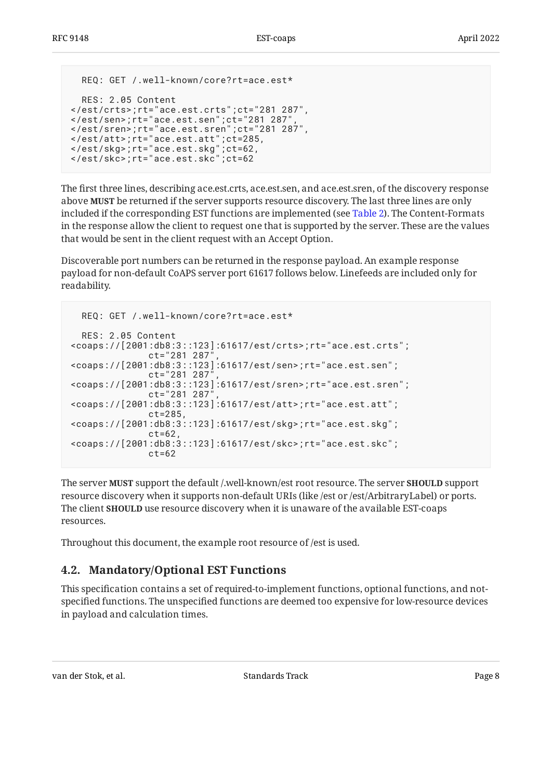```
 REQ: GET /.well-known/core?rt=ace.est*
   RES: 2.05 Content
</est/crts>;rt="ace.est.crts";ct="281 287",
</est/sen>;rt="ace.est.sen";ct="281 287",
</est/sren>;rt="ace.est.sren";ct="281 287",
</est/att>;rt="ace.est.att";ct=285,
</est/skg>;rt="ace.est.skg";ct=62,
</est/skc>;rt="ace.est.skc";ct=62
```
The first three lines, describing ace.est.crts, ace.est.sen, and ace.est.sren, of the discovery response above **MUST** be returned if the server supports resource discovery. The last three lines are only included if the corresponding EST functions are implemented (see [Table 2\)](#page-8-1). The Content-Formats in the response allow the client to request one that is supported by the server. These are the values that would be sent in the client request with an Accept Option.

Discoverable port numbers can be returned in the response payload. An example response payload for non-default CoAPS server port 61617 follows below. Linefeeds are included only for readability.

```
 REQ: GET /.well-known/core?rt=ace.est*
   RES: 2.05 Content
<coaps://[2001:db8:3::123]:61617/est/crts>;rt="ace.est.crts";
               ct="281 287",
<coaps://[2001:db8:3::123]:61617/est/sen>;rt="ace.est.sen";
               ct="281 287",
<coaps://[2001:db8:3::123]:61617/est/sren>;rt="ace.est.sren";
               ct="281 287",
<coaps://[2001:db8:3::123]:61617/est/att>;rt="ace.est.att";
               ct=285,
<coaps://[2001:db8:3::123]:61617/est/skg>;rt="ace.est.skg";
              ct=62.
<coaps://[2001:db8:3::123]:61617/est/skc>;rt="ace.est.skc";
              ct=62
```
The server **MUST** support the default /.well-known/est root resource. The server **SHOULD** support resource discovery when it supports non-default URIs (like /est or /est/ArbitraryLabel) or ports. The client **SHOULD** use resource discovery when it is unaware of the available EST-coaps resources.

<span id="page-7-0"></span>Throughout this document, the example root resource of /est is used.

#### **[4.2. Mandatory/Optional EST Functions](#page-7-0)**

This specification contains a set of required-to-implement functions, optional functions, and notspecified functions. The unspecified functions are deemed too expensive for low-resource devices in payload and calculation times.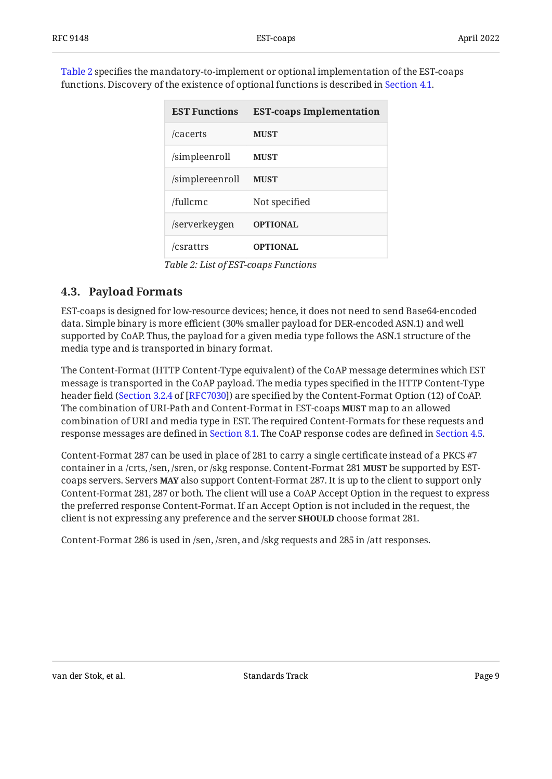<span id="page-8-1"></span>[Table 2](#page-8-1) specifies the mandatory-to-implement or optional implementation of the EST-coaps functions. Discovery of the existence of optional functions is described in [Section 4.1](#page-5-1).

<span id="page-8-2"></span>

| <b>EST Functions</b> | <b>EST-coaps Implementation</b> |
|----------------------|---------------------------------|
| /cacerts             | <b>MUST</b>                     |
| /simpleenroll        | <b>MUST</b>                     |
| /simplereenroll      | <b>MUST</b>                     |
| /fullcmc             | Not specified                   |
| /serverkeygen        | <b>OPTIONAL</b>                 |
| /csrattrs            | <b>OPTIONAL</b>                 |

*[Table 2](#page-8-2): [List of EST-coaps Functions](#page-8-1)* 

#### <span id="page-8-0"></span>**[4.3. Payload Formats](#page-8-0)**

EST-coaps is designed for low-resource devices; hence, it does not need to send Base64-encoded data. Simple binary is more efficient (30% smaller payload for DER-encoded ASN.1) and well supported by CoAP. Thus, the payload for a given media type follows the ASN.1 structure of the media type and is transported in binary format.

The Content-Format (HTTP Content-Type equivalent) of the CoAP message determines which EST message is transported in the CoAP payload. The media types specified in the HTTP Content-Type header field ([Section 3.2.4](https://www.rfc-editor.org/rfc/rfc7030#section-3.2.4) of [[RFC7030\]](#page-21-0)) are specified by the Content-Format Option (12) of CoAP. The combination of URI-Path and Content-Format in EST-coaps **MUST** map to an allowed combination of URI and media type in EST. The required Content-Formats for these requests and response messages are defined in [Section 8.1](#page-17-2). The CoAP response codes are defined in [Section 4.5](#page-10-0).

Content-Format 287 can be used in place of 281 to carry a single certificate instead of a PKCS #7 container in a /crts, /sen, /sren, or /skg response. Content-Format 281 **MUST** be supported by ESTcoaps servers. Servers **MAY** also support Content-Format 287. It is up to the client to support only Content-Format 281, 287 or both. The client will use a CoAP Accept Option in the request to express the preferred response Content-Format. If an Accept Option is not included in the request, the client is not expressing any preference and the server **SHOULD** choose format 281.

Content-Format 286 is used in /sen, /sren, and /skg requests and 285 in /att responses.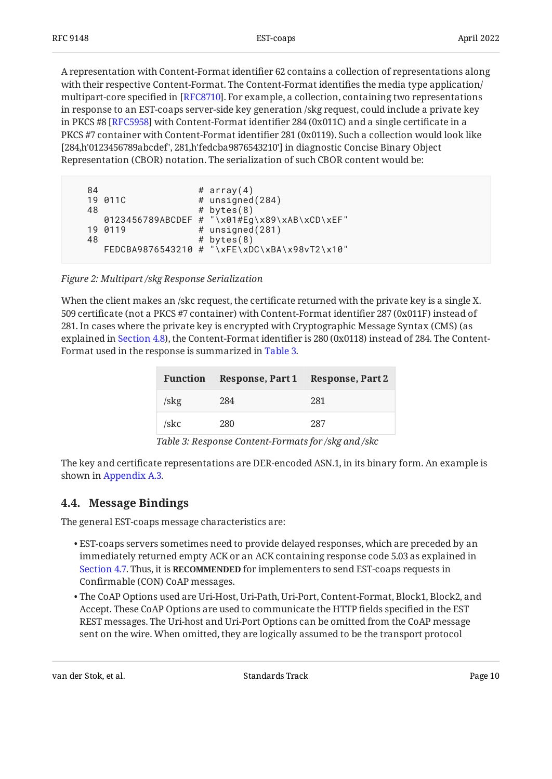A representation with Content-Format identifier 62 contains a collection of representations along with their respective Content-Format. The Content-Format identifies the media type application/ multipart-core specified in [[RFC8710\]](#page-22-5). For example, a collection, containing two representations in response to an EST-coaps server-side key generation /skg request, could include a private key in PKCS #8 [RFC5958] with Content-Format identifier 284 (0x011C) and a single certificate in a PKCS #7 container with Content-Format identifier 281 (0x0119). Such a collection would look like [284,h'0123456789abcdef', 281,h'fedcba9876543210'] in diagnostic Concise Binary Object Representation (CBOR) notation. The serialization of such CBOR content would be:

```
84 # array(4)
 19 011C # unsigned(284)
48 # bytes(8)
   0123456789ABCDEF # "\x01#Eg\x89\xAB\xCD\xEF"
19 0119 # unsigned(281)
48 # bytes(8)
   FEDCBA9876543210 # "\xFE\xDC\xBA\x98vT2\x10"
```
*[Figure 2: Multipart /skg Response Serialization](#page-9-1)* 

<span id="page-9-2"></span>When the client makes an /skc request, the certificate returned with the private key is a single X. 509 certificate (not a PKCS #7 container) with Content-Format identifier 287 (0x011F) instead of 281. In cases where the private key is encrypted with Cryptographic Message Syntax (CMS) (as explained in [Section 4.8](#page-13-0)), the Content-Format identifier is 280 (0x0118) instead of 284. The Content-Format used in the response is summarized in [Table 3.](#page-9-2)

<span id="page-9-3"></span>

|      | Function Response, Part 1 Response, Part 2 |     |
|------|--------------------------------------------|-----|
| /skg | 284                                        | 281 |
| /skc | 280                                        | 287 |

*[Table 3:](#page-9-3) [Response Content-Formats for /skg and /skc](#page-9-2)* 

The key and certificate representations are DER-encoded ASN.1, in its binary form. An example is shown in [Appendix A.3.](#page-28-0)

#### <span id="page-9-0"></span>**[4.4. Message Bindings](#page-9-0)**

The general EST-coaps message characteristics are:

- EST-coaps servers sometimes need to provide delayed responses, which are preceded by an immediately returned empty ACK or an ACK containing response code 5.03 as explained in [Section 4.7](#page-11-1). Thus, it is **RECOMMENDED** for implementers to send EST-coaps requests in Confirmable (CON) CoAP messages.
- The CoAP Options used are Uri-Host, Uri-Path, Uri-Port, Content-Format, Block1, Block2, and Accept. These CoAP Options are used to communicate the HTTP fields specified in the EST REST messages. The Uri-host and Uri-Port Options can be omitted from the CoAP message sent on the wire. When omitted, they are logically assumed to be the transport protocol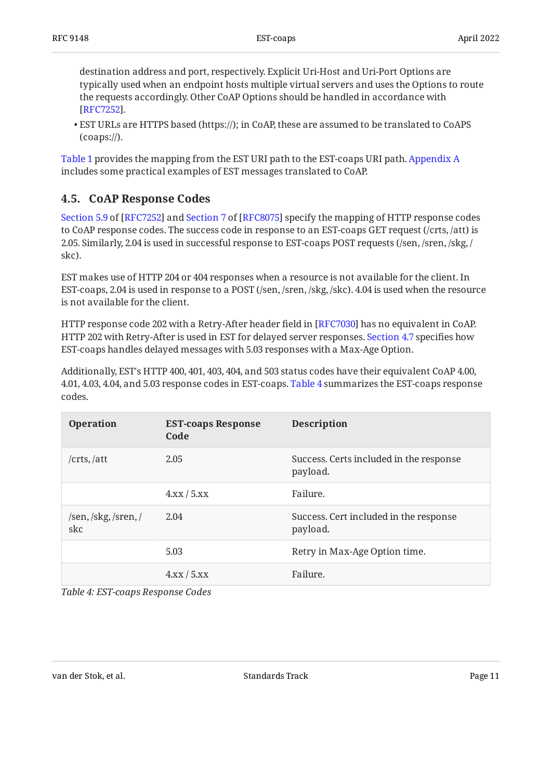destination address and port, respectively. Explicit Uri-Host and Uri-Port Options are typically used when an endpoint hosts multiple virtual servers and uses the Options to route the requests accordingly. Other CoAP Options should be handled in accordance with . [[RFC7252\]](#page-21-2)

EST URLs are HTTPS based (https://); in CoAP, these are assumed to be translated to CoAPS • (coaps://).

[Table 1](#page-6-0) provides the mapping from the EST URI path to the EST-coaps URI path. [Appendix A](#page-24-0) includes some practical examples of EST messages translated to CoAP.

#### <span id="page-10-0"></span>**[4.5. CoAP Response Codes](#page-10-0)**

Section5.9 of [\[RFC7252\]](#page-21-2) and Section 7 of [RFC8075] specify the mapping of HTTP response codes to CoAP response codes. The success code in response to an EST-coaps GET request (/crts, /att) is 2.05. Similarly, 2.04 is used in successful response to EST-coaps POST requests (/sen, /sren, /skg, / skc).

EST makes use of HTTP 204 or 404 responses when a resource is not available for the client. In EST-coaps, 2.04 is used in response to a POST (/sen, /sren, /skg, /skc). 4.04 is used when the resource is not available for the client.

HTTP response code 202 with a Retry-After header field in [\[RFC7030](#page-21-0)] has no equivalent in CoAP. HTTP 202 with Retry-After is used in EST for delayed server responses. [Section 4.7](#page-11-1) specifies how EST-coaps handles delayed messages with 5.03 responses with a Max-Age Option.

Additionally, EST's HTTP 400, 401, 403, 404, and 503 status codes have their equivalent CoAP 4.00, 4.01, 4.03, 4.04, and 5.03 response codes in EST-coaps. [Table 4](#page-10-1) summarizes the EST-coaps response codes.

<span id="page-10-1"></span>

| <b>Operation</b>            | <b>EST-coaps Response</b><br>Code | <b>Description</b>                                  |
|-----------------------------|-----------------------------------|-----------------------------------------------------|
| /crts, /att                 | 2.05                              | Success. Certs included in the response<br>payload. |
|                             | 4.xx/5.xx                         | Failure.                                            |
| /sen, /skg, /sren, /<br>skc | 2.04                              | Success. Cert included in the response<br>payload.  |
|                             | 5.03                              | Retry in Max-Age Option time.                       |
|                             | 4.xx/5.xx                         | Failure.                                            |

*[Table 4: EST-coaps Response Codes](#page-10-1)*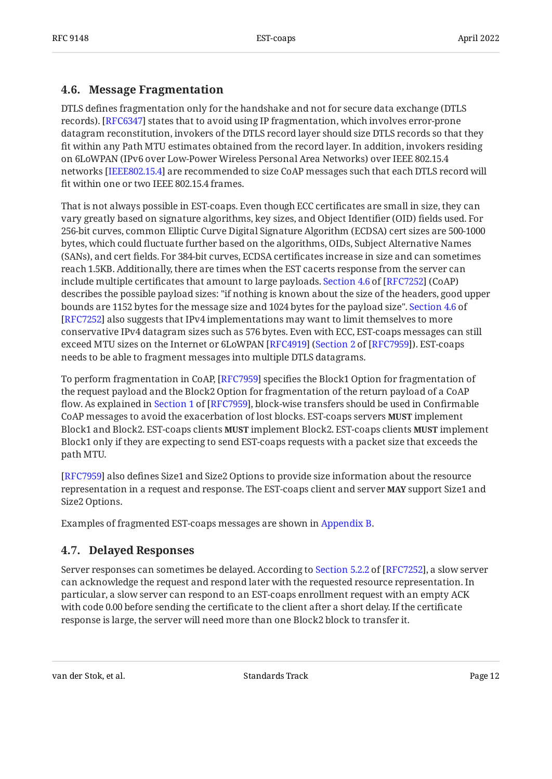#### <span id="page-11-0"></span>**[4.6. Message Fragmentation](#page-11-0)**

DTLS defines fragmentation only for the handshake and not for secure data exchange (DTLS records). [RFC6347] states that to avoid using IP fragmentation, which involves error-prone datagram reconstitution, invokers of the DTLS record layer should size DTLS records so that they fit within any Path MTU estimates obtained from the record layer. In addition, invokers residing on 6LoWPAN (IPv6 over Low-Power Wireless Personal Area Networks) over IEEE 802.15.4 networks [IEEE802.15.4] are recommended to size CoAP messages such that each DTLS record will fit within one or two IEEE 802.15.4 frames.

That is not always possible in EST-coaps. Even though ECC certificates are small in size, they can vary greatly based on signature algorithms, key sizes, and Object Identifier (OID) fields used. For 256-bit curves, common Elliptic Curve Digital Signature Algorithm (ECDSA) cert sizes are 500-1000 bytes, which could fluctuate further based on the algorithms, OIDs, Subject Alternative Names (SANs), and cert fields. For 384-bit curves, ECDSA certificates increase in size and can sometimes reach 1.5KB. Additionally, there are times when the EST cacerts response from the server can includemultiple certificates that amount to large payloads. Section 4.6 of [RFC7252] (CoAP)  $\,$ describes the possible payload sizes: "if nothing is known about the size of the headers, good upper bounds are 1152 bytes for the message size and 1024 bytes for the payload size". [Section 4.6](https://www.rfc-editor.org/rfc/rfc7252#section-4.6) of [[RFC7252\]](#page-21-2) also suggests that IPv4 implementations may want to limit themselves to more conservative IPv4 datagram sizes such as 576 bytes. Even with ECC, EST-coaps messages can still exceed MTU sizes on the Internet or 6LoWPAN [RFC4919] ([Section 2](https://www.rfc-editor.org/rfc/rfc7959#section-2) of [\[RFC7959\]](#page-21-3)). EST-coaps needs to be able to fragment messages into multiple DTLS datagrams.

To perform fragmentation in CoAP, [RFC7959] specifies the Block1 Option for fragmentation of the request payload and the Block2 Option for fragmentation of the return payload of a CoAP flow.As explained in Section 1 of [RFC7959], block-wise transfers should be used in Confirmable CoAP messages to avoid the exacerbation of lost blocks. EST-coaps servers **MUST** implement Block1 and Block2. EST-coaps clients **MUST** implement Block2. EST-coaps clients **MUST** implement Block1 only if they are expecting to send EST-coaps requests with a packet size that exceeds the path MTU.

[[RFC7959\]](#page-21-3) also defines Size1 and Size2 Options to provide size information about the resource representation in a request and response. The EST-coaps client and server **MAY** support Size1 and Size2 Options.

<span id="page-11-1"></span>Examples of fragmented EST-coaps messages are shown in [Appendix B](#page-30-0).

#### **[4.7. Delayed Responses](#page-11-1)**

Serverresponses can sometimes be delayed. According to Section 5.2.2 of [RFC7252], a slow server can acknowledge the request and respond later with the requested resource representation. In particular, a slow server can respond to an EST-coaps enrollment request with an empty ACK with code 0.00 before sending the certificate to the client after a short delay. If the certificate response is large, the server will need more than one Block2 block to transfer it.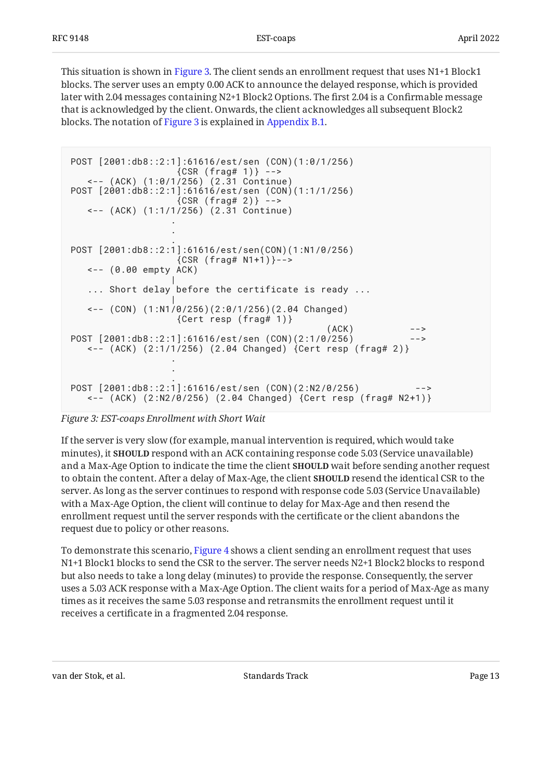This situation is shown in [Figure 3.](#page-12-0) The client sends an enrollment request that uses N1+1 Block1 blocks. The server uses an empty 0.00 ACK to announce the delayed response, which is provided later with 2.04 messages containing N2+1 Block2 Options. The first 2.04 is a Confirmable message that is acknowledged by the client. Onwards, the client acknowledges all subsequent Block2 blocks. The notation of [Figure 3](#page-12-0) is explained in [Appendix B.1](#page-30-1).

```
POST [2001:db8::2:1]:61616/est/sen (CON)(1:0/1/256)
               {CSR (frag# 1)} --> <-- (ACK) (1:0/1/256) (2.31 Continue)
POST [2001:db8::2:1]:61616/est/sen (CON)(1:1/1/256)
               {CSR (frag# 2)} -->
   <-- (ACK) (1:1/1/256) (2.31 Continue)
 .
 .
 .
POST [2001:db8::2:1]:61616/est/sen(CON)(1:N1/0/256)
               {CSR (frag# N1+1)}->
   <-- (0.00 empty ACK)
 |
   ... Short delay before the certificate is ready ...
 |
   <-- (CON) (1:N1/0/256)(2:0/1/256)(2.04 Changed)
                {Cert resp (frag# 1)}
(ACK) -->
POST [2001:db8::2:1]:61616/est/sen (CON)(2:1/0/256) <-- (ACK) (2:1/1/256) (2.04 Changed) {Cert resp (frag# 2)}
 .
 .
 .
POST [2001:db8::2:1]:61616/est/sen (CON)(2:N2/0/256)
   <-- (ACK) (2:N2/0/256) (2.04 Changed) {Cert resp (frag# N2+1)}
```
#### *[Figure 3: EST-coaps Enrollment with Short Wait](#page-12-0)*

If the server is very slow (for example, manual intervention is required, which would take minutes), it **SHOULD** respond with an ACK containing response code 5.03 (Service unavailable) and a Max-Age Option to indicate the time the client **SHOULD** wait before sending another request to obtain the content. After a delay of Max-Age, the client **SHOULD** resend the identical CSR to the server. As long as the server continues to respond with response code 5.03 (Service Unavailable) with a Max-Age Option, the client will continue to delay for Max-Age and then resend the enrollment request until the server responds with the certificate or the client abandons the request due to policy or other reasons.

<span id="page-12-1"></span>To demonstrate this scenario, [Figure 4](#page-13-1) shows a client sending an enrollment request that uses N1+1 Block1 blocks to send the CSR to the server. The server needs N2+1 Block2 blocks to respond but also needs to take a long delay (minutes) to provide the response. Consequently, the server uses a 5.03 ACK response with a Max-Age Option. The client waits for a period of Max-Age as many times as it receives the same 5.03 response and retransmits the enrollment request until it receives a certificate in a fragmented 2.04 response.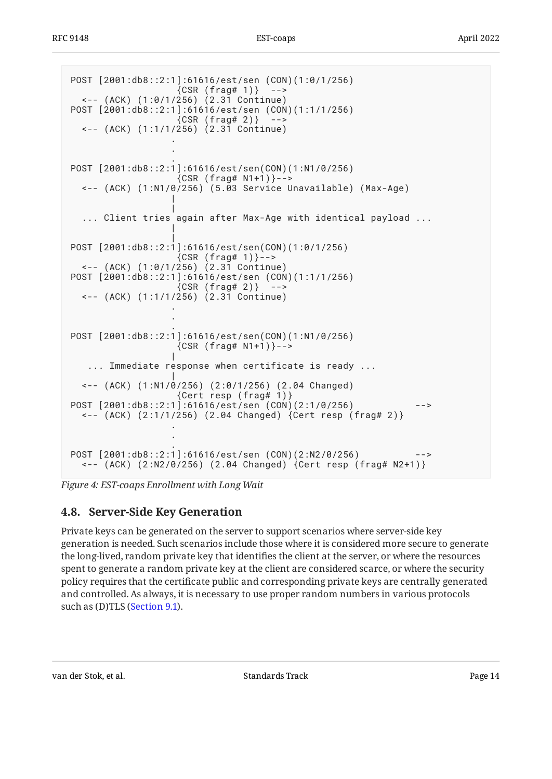```
POST [2001:db8::2:1]:61616/est/sen (CON)(1:0/1/256)
               {CSR (frag# 1)} --> <-- (ACK) (1:0/1/256) (2.31 Continue)
POST [2001:db8::2:1]:61616/est/sen (CON)(1:1/1/256)
               {CSR (frag# 2)} --> <-- (ACK) (1:1/1/256) (2.31 Continue)
 .
 .
 .
POST [2001:db8::2:1]:61616/est/sen(CON)(1:N1/0/256)
                {CSR (frag# N1+1)}-->
  <-- (ACK) (1:N1/0/256) (5.03 Service Unavailable) (Max-Age)
 |
 |
  ... Client tries again after Max-Age with identical payload ...
 |
 |
POST [2001:db8::2:1]:61616/est/sen(CON)(1:0/1/256)
               {CSR (frag# 1)}-->
  <-- (ACK) (1:0/1/256) (2.31 Continue)
POST [2001:db8::2:1]:61616/est/sen (CON)(1:1/1/256)
               {CSR (frag# 2)} --> <-- (ACK) (1:1/1/256) (2.31 Continue)
 .
 .
 .
POST [2001:db8::2:1]:61616/est/sen(CON)(1:N1/0/256)
               {CSR (frag# N1+1)}-->
 |
   ... Immediate response when certificate is ready ...
 |
  <-- (ACK) (1:N1/0/256) (2:0/1/256) (2.04 Changed)
 {Cert resp (frag# 1)}
POST [2001:db8::2:1]:61616/est/sen (CON)(2:1/0/256) -->
  <-- (ACK) (2:1/1/256) (2.04 Changed) {Cert resp (frag# 2)}
 .
 .
 .
POST [2001:db8::2:1]:61616/est/sen (CON)(2:N2/0/256) -->
  <-- (ACK) (2:N2/0/256) (2.04 Changed) {Cert resp (frag# N2+1)}
```
<span id="page-13-0"></span>*[Figure 4:](#page-13-1) [EST-coaps Enrollment with Long Wait](#page-12-1)* 

### **[4.8. Server-Side Key Generation](#page-13-0)**

Private keys can be generated on the server to support scenarios where server-side key generation is needed. Such scenarios include those where it is considered more secure to generate the long-lived, random private key that identifies the client at the server, or where the resources spent to generate a random private key at the client are considered scarce, or where the security policy requires that the certificate public and corresponding private keys are centrally generated and controlled. As always, it is necessary to use proper random numbers in various protocols such as (D)TLS ([Section 9.1](#page-18-2)).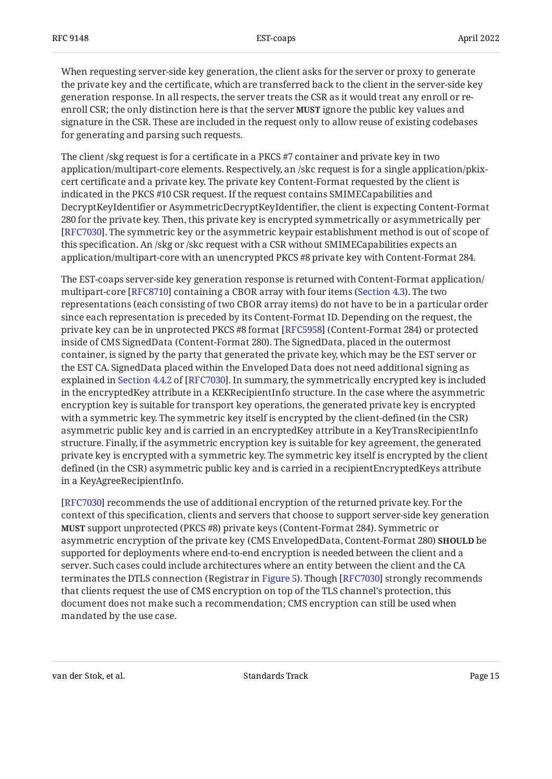When requesting server-side key generation, the client asks for the server or proxy to generate the private key and the certificate, which are transferred back to the client in the server-side key generation response. In all respects, the server treats the CSR as it would treat any enroll or reenroll CSR; the only distinction here is that the server **MUST** ignore the public key values and signature in the CSR. These are included in the request only to allow reuse of existing codebases for generating and parsing such requests.

The client /skg request is for a certificate in a PKCS #7 container and private key in two application/multipart-core elements. Respectively, an /skc request is for a single application/pkixcert certificate and a private key. The private key Content-Format requested by the client is indicated in the PKCS #10 CSR request. If the request contains SMIMECapabilities and DecryptKeyIdentifier or AsymmetricDecryptKeyIdentifier, the client is expecting Content-Format 280 for the private key. Then, this private key is encrypted symmetrically or asymmetrically per [[RFC7030\]](#page-21-0). The symmetric key or the asymmetric keypair establishment method is out of scope of this specification. An /skg or /skc request with a CSR without SMIMECapabilities expects an application/multipart-core with an unencrypted PKCS #8 private key with Content-Format 284.

The EST-coaps server-side key generation response is returned with Content-Format application/ multipart-core [RFC8710] containing a CBOR array with four items ([Section 4.3](#page-8-0)). The two representations (each consisting of two CBOR array items) do not have to be in a particular order since each representation is preceded by its Content-Format ID. Depending on the request, the private key can be in unprotected PKCS #8 format [RFC5958] (Content-Format 284) or protected inside of CMS SignedData (Content-Format 280). The SignedData, placed in the outermost container, is signed by the party that generated the private key, which may be the EST server or the EST CA. SignedData placed within the Enveloped Data does not need additional signing as explainedin Section 4.4.2 of [RFC7030]. In summary, the symmetrically encrypted key is included in the encryptedKey attribute in a KEKRecipientInfo structure. In the case where the asymmetric encryption key is suitable for transport key operations, the generated private key is encrypted with a symmetric key. The symmetric key itself is encrypted by the client-defined (in the CSR) asymmetric public key and is carried in an encryptedKey attribute in a KeyTransRecipientInfo structure. Finally, if the asymmetric encryption key is suitable for key agreement, the generated private key is encrypted with a symmetric key. The symmetric key itself is encrypted by the client defined (in the CSR) asymmetric public key and is carried in a recipientEncryptedKeys attribute in a KeyAgreeRecipientInfo.

[[RFC7030\]](#page-21-0) recommends the use of additional encryption of the returned private key. For the context of this specification, clients and servers that choose to support server-side key generation **MUST** support unprotected (PKCS #8) private keys (Content-Format 284). Symmetric or asymmetric encryption of the private key (CMS EnvelopedData, Content-Format 280) **SHOULD** be supported for deployments where end-to-end encryption is needed between the client and a server. Such cases could include architectures where an entity between the client and the CA terminates the DTLS connection (Registrar in [Figure 5\)](#page-15-1). Though [RFC7030] strongly recommends that clients request the use of CMS encryption on top of the TLS channel's protection, this document does not make such a recommendation; CMS encryption can still be used when mandated by the use case.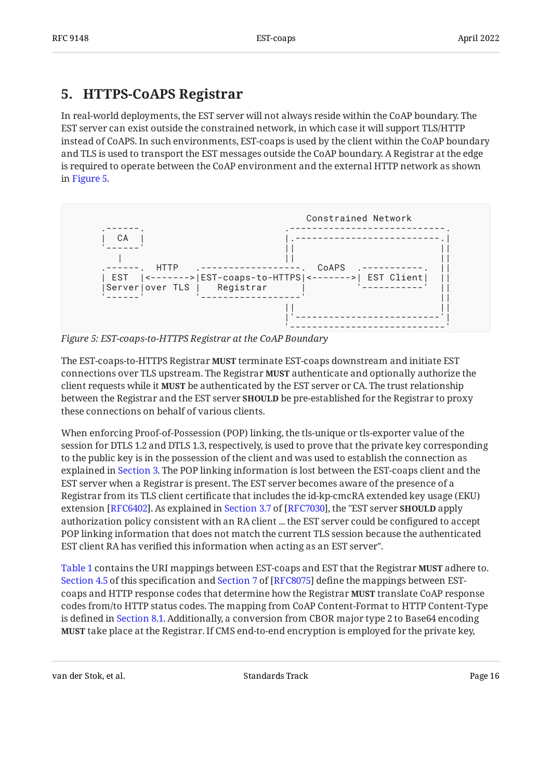### <span id="page-15-0"></span>**[5. HTTPS-CoAPS Registrar](#page-15-0)**

In real-world deployments, the EST server will not always reside within the CoAP boundary. The EST server can exist outside the constrained network, in which case it will support TLS/HTTP instead of CoAPS. In such environments, EST-coaps is used by the client within the CoAP boundary and TLS is used to transport the EST messages outside the CoAP boundary. A Registrar at the edge is required to operate between the CoAP environment and the external HTTP network as shown in [Figure 5.](#page-15-1)

<span id="page-15-1"></span>

*[Figure 5: EST-coaps-to-HTTPS Registrar at the CoAP Boundary](#page-15-1)* 

The EST-coaps-to-HTTPS Registrar **MUST** terminate EST-coaps downstream and initiate EST connections over TLS upstream. The Registrar **MUST** authenticate and optionally authorize the client requests while it **MUST** be authenticated by the EST server or CA. The trust relationship between the Registrar and the EST server **SHOULD** be pre-established for the Registrar to proxy these connections on behalf of various clients.

When enforcing Proof-of-Possession (POP) linking, the tls-unique or tls-exporter value of the session for DTLS 1.2 and DTLS 1.3, respectively, is used to prove that the private key corresponding to the public key is in the possession of the client and was used to establish the connection as explained in [Section 3](#page-3-1). The POP linking information is lost between the EST-coaps client and the EST server when a Registrar is present. The EST server becomes aware of the presence of a Registrar from its TLS client certificate that includes the id-kp-cmcRA extended key usage (EKU) extension[RFC6402]. As explained in Section 3.7 of [RFC7030], the "EST server **SHOULD** apply authorization policy consistent with an RA client ... the EST server could be configured to accept POP linking information that does not match the current TLS session because the authenticated EST client RA has verified this information when acting as an EST server".

[Table 1](#page-6-0) contains the URI mappings between EST-coaps and EST that the Registrar MUST adhere to. [Section 4.5](#page-10-0)of this specification and Section 7 of [RFC8075] define the mappings between ESTcoaps and HTTP response codes that determine how the Registrar **MUST** translate CoAP response codes from/to HTTP status codes. The mapping from CoAP Content-Format to HTTP Content-Type is defined in [Section 8.1](#page-17-2). Additionally, a conversion from CBOR major type 2 to Base64 encoding **MUST** take place at the Registrar. If CMS end-to-end encryption is employed for the private key,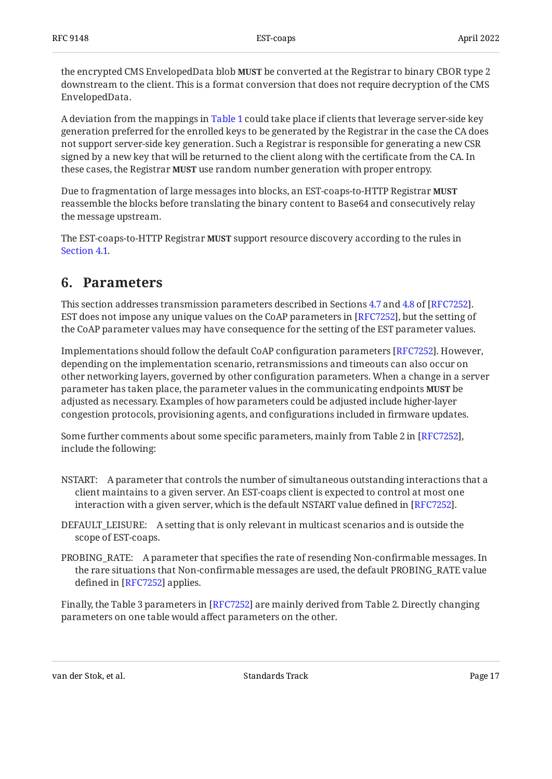the encrypted CMS EnvelopedData blob **MUST** be converted at the Registrar to binary CBOR type 2 downstream to the client. This is a format conversion that does not require decryption of the CMS EnvelopedData.

A deviation from the mappings in [Table 1](#page-6-0) could take place if clients that leverage server-side key generation preferred for the enrolled keys to be generated by the Registrar in the case the CA does not support server-side key generation. Such a Registrar is responsible for generating a new CSR signed by a new key that will be returned to the client along with the certificate from the CA. In these cases, the Registrar **MUST** use random number generation with proper entropy.

Due to fragmentation of large messages into blocks, an EST-coaps-to-HTTP Registrar **MUST** reassemble the blocks before translating the binary content to Base64 and consecutively relay the message upstream.

<span id="page-16-0"></span>The EST-coaps-to-HTTP Registrar **MUST** support resource discovery according to the rules in [Section 4.1](#page-5-1).

### **[6. Parameters](#page-16-0)**

This section addresses transmission parameters described in Sections [4.7](https://www.rfc-editor.org/rfc/rfc7252#section-4.7) and [4.8](https://www.rfc-editor.org/rfc/rfc7252#section-4.8) of [RFC7252]. EST does not impose any unique values on the CoAP parameters in [RFC7252], but the setting of the CoAP parameter values may have consequence for the setting of the EST parameter values.

Implementations should follow the default CoAP configuration parameters [RFC7252]. However, depending on the implementation scenario, retransmissions and timeouts can also occur on other networking layers, governed by other configuration parameters. When a change in a server parameter has taken place, the parameter values in the communicating endpoints **MUST** be adjusted as necessary. Examples of how parameters could be adjusted include higher-layer congestion protocols, provisioning agents, and configurations included in firmware updates.

Some further comments about some specific parameters, mainly from Table 2 in [RFC7252], include the following:

- NSTART: A parameter that controls the number of simultaneous outstanding interactions that a client maintains to a given server. An EST-coaps client is expected to control at most one interaction with a given server, which is the default NSTART value defined in [RFC7252].  $\,$
- DEFAULT\_LEISURE: A setting that is only relevant in multicast scenarios and is outside the scope of EST-coaps.
- PROBING\_RATE: A parameter that specifies the rate of resending Non-confirmable messages. In the rare situations that Non-confirmable messages are used, the default PROBING\_RATE value defined in [RFC7252] applies.

Finally, the Table 3 parameters in [\[RFC7252](#page-21-2)] are mainly derived from Table 2. Directly changing parameters on one table would affect parameters on the other.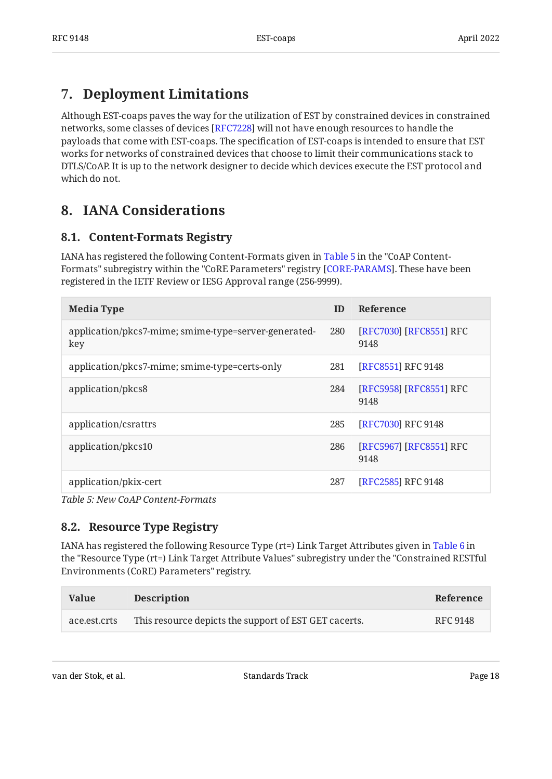## <span id="page-17-0"></span>**[7. Deployment Limitations](#page-17-0)**

Although EST-coaps paves the way for the utilization of EST by constrained devices in constrained networks, some classes of devices [RFC7228] will not have enough resources to handle the payloads that come with EST-coaps. The specification of EST-coaps is intended to ensure that EST works for networks of constrained devices that choose to limit their communications stack to DTLS/CoAP. It is up to the network designer to decide which devices execute the EST protocol and which do not.

## <span id="page-17-2"></span><span id="page-17-1"></span>**[8. IANA Considerations](#page-17-1)**

#### **[8.1. Content-Formats Registry](#page-17-2)**

IANA has registered the following Content-Formats given in [Table 5](#page-17-4) in the "CoAP Content-Formats" subregistry within the "CoRE Parameters" registry [CORE-PARAMS]. These have been registered in the IETF Review or IESG Approval range (256-9999).

<span id="page-17-4"></span>

| <b>Media Type</b>                                           | ID  | <b>Reference</b>                |
|-------------------------------------------------------------|-----|---------------------------------|
| application/pkcs7-mime; smime-type=server-generated-<br>key | 280 | [RFC7030] [RFC8551] RFC<br>9148 |
| application/pkcs7-mime; smime-type=certs-only               | 281 | [RFC8551] RFC 9148              |
| application/pkcs8                                           | 284 | [RFC5958] [RFC8551] RFC<br>9148 |
| application/csrattrs                                        | 285 | [RFC7030] RFC 9148              |
| application/pkcs10                                          | 286 | [RFC5967] [RFC8551] RFC<br>9148 |
| application/pkix-cert                                       | 287 | [RFC2585] RFC 9148              |

<span id="page-17-3"></span>*[Table 5: New CoAP Content-Formats](#page-17-4)* 

#### **[8.2. Resource Type Registry](#page-17-3)**

IANA has registered the following Resource Type (rt=) Link Target Attributes given in [Table 6](#page-17-5) in the "Resource Type (rt=) Link Target Attribute Values" subregistry under the "Constrained RESTful Environments (CoRE) Parameters" registry.

<span id="page-17-5"></span>

| Value        | <b>Description</b>                                    | Reference       |
|--------------|-------------------------------------------------------|-----------------|
| ace.est.crts | This resource depicts the support of EST GET cacerts. | <b>RFC 9148</b> |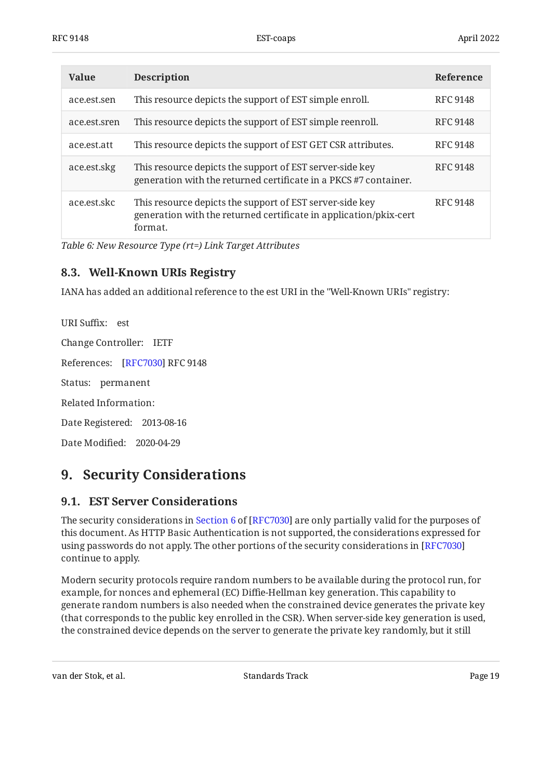| Value        | <b>Description</b>                                                                                                                       | Reference       |
|--------------|------------------------------------------------------------------------------------------------------------------------------------------|-----------------|
| ace.est.sen  | This resource depicts the support of EST simple enroll.                                                                                  | <b>RFC 9148</b> |
| ace.est.sren | This resource depicts the support of EST simple reenroll.                                                                                | <b>RFC 9148</b> |
| ace.est.att  | This resource depicts the support of EST GET CSR attributes.                                                                             | <b>RFC 9148</b> |
| ace.est.skg  | This resource depicts the support of EST server-side key<br>generation with the returned certificate in a PKCS #7 container.             | <b>RFC 9148</b> |
| ace.est.skc  | This resource depicts the support of EST server-side key<br>generation with the returned certificate in application/pkix-cert<br>format. | <b>RFC 9148</b> |

<span id="page-18-0"></span>*[Table 6: New Resource Type \(rt=\) Link Target Attributes](#page-17-5)* 

#### **[8.3. Well-Known URIs Registry](#page-18-0)**

IANA has added an additional reference to the est URI in the "Well-Known URIs" registry:

URI Suffix: est Change Controller: IETF References: [\[RFC7030\]](#page-21-0) RFC 9148 Status: permanent Related Information: Date Registered: 2013-08-16 Date Modified: 2020-04-29

## <span id="page-18-2"></span><span id="page-18-1"></span>**[9. Security Considerations](#page-18-1)**

#### **[9.1. EST Server Considerations](#page-18-2)**

Thesecurity considerations in Section 6 of [RFC7030] are only partially valid for the purposes of this document. As HTTP Basic Authentication is not supported, the considerations expressed for using passwords do not apply. The other portions of the security considerations in [\[RFC7030\]](#page-21-0) continue to apply.

Modern security protocols require random numbers to be available during the protocol run, for example, for nonces and ephemeral (EC) Diffie-Hellman key generation. This capability to generate random numbers is also needed when the constrained device generates the private key (that corresponds to the public key enrolled in the CSR). When server-side key generation is used, the constrained device depends on the server to generate the private key randomly, but it still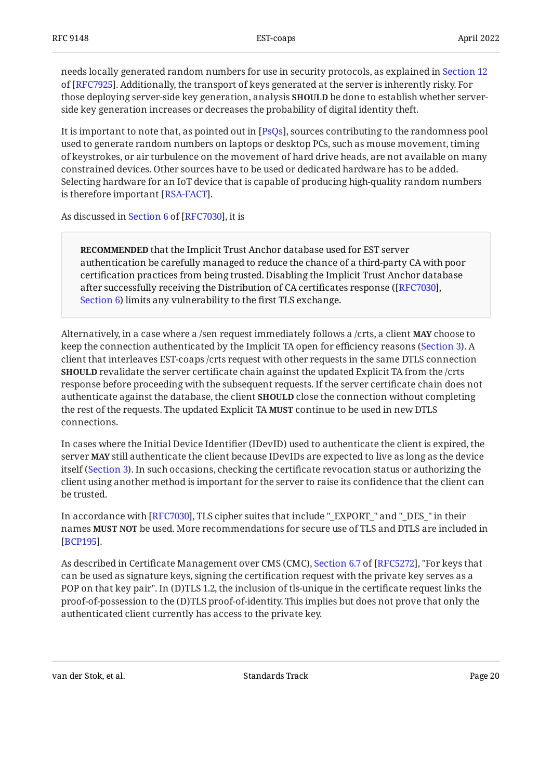needs locally generated random numbers for use in security protocols, as explained in [Section 12](https://www.rfc-editor.org/rfc/rfc7925#section-12) of [[RFC7925\]](#page-21-6). Additionally, the transport of keys generated at the server is inherently risky. For those deploying server-side key generation, analysis **SHOULD** be done to establish whether serverside key generation increases or decreases the probability of digital identity theft.

It is important to note that, as pointed out in [PsQs], sources contributing to the randomness pool used to generate random numbers on laptops or desktop PCs, such as mouse movement, timing of keystrokes, or air turbulence on the movement of hard drive heads, are not available on many constrained devices. Other sources have to be used or dedicated hardware has to be added. Selecting hardware for an IoT device that is capable of producing high-quality random numbers is therefore important [RSA-FACT].

Asdiscussed in Section 6 of [RFC7030], it is

**RECOMMENDED** that the Implicit Trust Anchor database used for EST server authentication be carefully managed to reduce the chance of a third-party CA with poor certification practices from being trusted. Disabling the Implicit Trust Anchor database after successfully receiving the Distribution of CA certificates response ( [\[RFC7030\]](#page-21-0), [Section 6](https://www.rfc-editor.org/rfc/rfc7030#section-6)) limits any vulnerability to the first TLS exchange.

Alternatively, in a case where a /sen request immediately follows a /crts, a client **MAY** choose to keep the connection authenticated by the Implicit TA open for efficiency reasons [\(Section 3](#page-3-1)). A client that interleaves EST-coaps /crts request with other requests in the same DTLS connection **SHOULD** revalidate the server certificate chain against the updated Explicit TA from the /crts response before proceeding with the subsequent requests. If the server certificate chain does not authenticate against the database, the client **SHOULD** close the connection without completing the rest of the requests. The updated Explicit TA **MUST** continue to be used in new DTLS connections.

In cases where the Initial Device Identifier (IDevID) used to authenticate the client is expired, the server **MAY** still authenticate the client because IDevIDs are expected to live as long as the device itself ([Section 3\)](#page-3-1). In such occasions, checking the certificate revocation status or authorizing the client using another method is important for the server to raise its confidence that the client can be trusted.

In accordance with [RFC7030], TLS cipher suites that include "\_EXPORT\_" and "\_DES\_" in their names **MUST NOT** be used. More recommendations for secure use of TLS and DTLS are included in . [[BCP195](#page-22-11)]

Asdescribed in Certificate Management over CMS (CMC), Section 6.7 of [RFC5272], "For keys that can be used as signature keys, signing the certification request with the private key serves as a POP on that key pair". In (D)TLS 1.2, the inclusion of tls-unique in the certificate request links the proof-of-possession to the (D)TLS proof-of-identity. This implies but does not prove that only the authenticated client currently has access to the private key.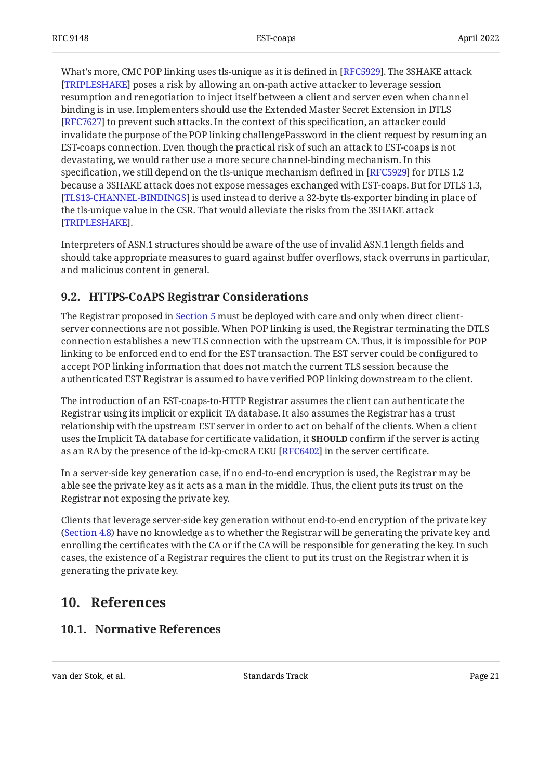What's more, CMC POP linking uses tls-unique as it is defined in [RFC5929]. The 3SHAKE attack  $\,$ [[TRIPLESHAKE\]](#page-23-10) poses a risk by allowing an on-path active attacker to leverage session resumption and renegotiation to inject itself between a client and server even when channel binding is in use. Implementers should use the Extended Master Secret Extension in DTLS [[RFC7627\]](#page-23-11) to prevent such attacks. In the context of this specification, an attacker could invalidate the purpose of the POP linking challengePassword in the client request by resuming an EST-coaps connection. Even though the practical risk of such an attack to EST-coaps is not devastating, we would rather use a more secure channel-binding mechanism. In this specification, we still depend on the tls-unique mechanism defined in [RFC5929] for DTLS 1.2  $\,$ because a 3SHAKE attack does not expose messages exchanged with EST-coaps. But for DTLS 1.3, [[TLS13-CHANNEL-BINDINGS\]](#page-23-5) is used instead to derive a 32-byte tls-exporter binding in place of the tls-unique value in the CSR. That would alleviate the risks from the 3SHAKE attack . [[TRIPLESHAKE\]](#page-23-10)

Interpreters of ASN.1 structures should be aware of the use of invalid ASN.1 length fields and should take appropriate measures to guard against buffer overflows, stack overruns in particular, and malicious content in general.

#### <span id="page-20-0"></span>**[9.2. HTTPS-CoAPS Registrar Considerations](#page-20-0)**

The Registrar proposed in [Section 5](#page-15-0) must be deployed with care and only when direct clientserver connections are not possible. When POP linking is used, the Registrar terminating the DTLS connection establishes a new TLS connection with the upstream CA. Thus, it is impossible for POP linking to be enforced end to end for the EST transaction. The EST server could be configured to accept POP linking information that does not match the current TLS session because the authenticated EST Registrar is assumed to have verified POP linking downstream to the client.

The introduction of an EST-coaps-to-HTTP Registrar assumes the client can authenticate the Registrar using its implicit or explicit TA database. It also assumes the Registrar has a trust relationship with the upstream EST server in order to act on behalf of the clients. When a client uses the Implicit TA database for certificate validation, it **SHOULD** confirm if the server is acting as an RA by the presence of the id-kp-cmcRA EKU [RFC6402] in the server certificate.

In a server-side key generation case, if no end-to-end encryption is used, the Registrar may be able see the private key as it acts as a man in the middle. Thus, the client puts its trust on the Registrar not exposing the private key.

Clients that leverage server-side key generation without end-to-end encryption of the private key ([Section 4.8\)](#page-13-0) have no knowledge as to whether the Registrar will be generating the private key and enrolling the certificates with the CA or if the CA will be responsible for generating the key. In such cases, the existence of a Registrar requires the client to put its trust on the Registrar when it is generating the private key.

### <span id="page-20-2"></span><span id="page-20-1"></span>**[10. References](#page-20-1)**

#### **[10.1. Normative References](#page-20-2)**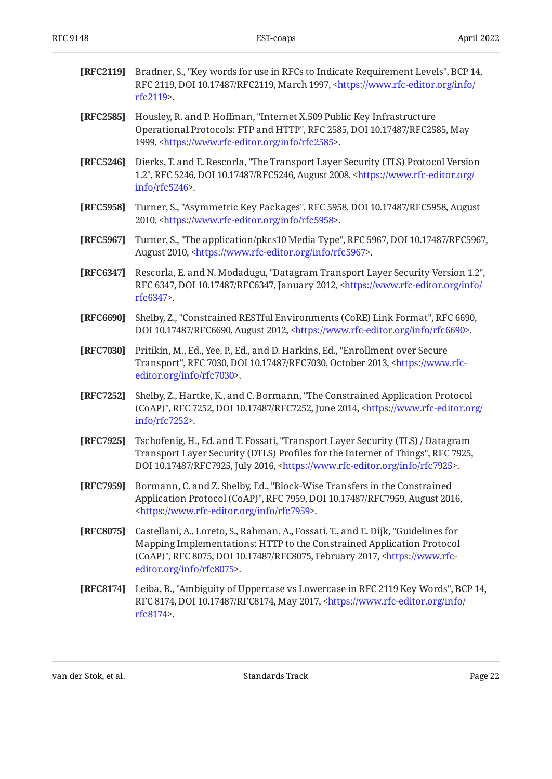<span id="page-21-12"></span><span id="page-21-10"></span><span id="page-21-9"></span><span id="page-21-8"></span><span id="page-21-7"></span><span id="page-21-4"></span><span id="page-21-1"></span><span id="page-21-0"></span>

| [RFC2119] | Bradner, S., "Key words for use in RFCs to Indicate Requirement Levels", BCP 14,<br>RFC 2119, DOI 10.17487/RFC2119, March 1997, <https: <br="" info="" www.rfc-editor.org="">rfc2119&gt;.</https:>                                                                                 |
|-----------|------------------------------------------------------------------------------------------------------------------------------------------------------------------------------------------------------------------------------------------------------------------------------------|
| [RFC2585] | Housley, R. and P. Hoffman, "Internet X.509 Public Key Infrastructure<br>Operational Protocols: FTP and HTTP", RFC 2585, DOI 10.17487/RFC2585, May<br>1999, <https: info="" rfc2585="" www.rfc-editor.org="">.</https:>                                                            |
| [RFC5246] | Dierks, T. and E. Rescorla, "The Transport Layer Security (TLS) Protocol Version<br>1.2", RFC 5246, DOI 10.17487/RFC5246, August 2008, <https: <br="" www.rfc-editor.org=""><math>info/rfc5246</math>.</https:>                                                                    |
| [RFC5958] | Turner, S., "Asymmetric Key Packages", RFC 5958, DOI 10.17487/RFC5958, August<br>2010, <https: info="" rfc5958="" www.rfc-editor.org="">.</https:>                                                                                                                                 |
| [RFC5967] | Turner, S., "The application/pkcs10 Media Type", RFC 5967, DOI 10.17487/RFC5967,<br>August 2010, <https: info="" rfc5967="" www.rfc-editor.org="">.</https:>                                                                                                                       |
| [RFC6347] | Rescorla, E. and N. Modadugu, "Datagram Transport Layer Security Version 1.2",<br>RFC 6347, DOI 10.17487/RFC6347, January 2012, <https: <br="" info="" www.rfc-editor.org="">rfc6347&gt;.</https:>                                                                                 |
| [RFC6690] | Shelby, Z., "Constrained RESTful Environments (CoRE) Link Format", RFC 6690,<br>DOI 10.17487/RFC6690, August 2012, <https: info="" rfc6690="" www.rfc-editor.org="">.</https:>                                                                                                     |
| [RFC7030] | Pritikin, M., Ed., Yee, P., Ed., and D. Harkins, Ed., "Enrollment over Secure<br>Transport", RFC 7030, DOI 10.17487/RFC7030, October 2013, <https: www.rfc-<br="">editor.org/info/rfc7030&gt;.</https:>                                                                            |
| [RFC7252] | Shelby, Z., Hartke, K., and C. Bormann, "The Constrained Application Protocol<br>(CoAP)", RFC 7252, DOI 10.17487/RFC7252, June 2014, <https: <br="" www.rfc-editor.org="">info/rfc7252&gt;.</https:>                                                                               |
| [RFC7925] | Tschofenig, H., Ed. and T. Fossati, "Transport Layer Security (TLS) / Datagram<br>Transport Layer Security (DTLS) Profiles for the Internet of Things", RFC 7925,<br>DOI 10.17487/RFC7925, July 2016, <https: info="" rfc7925="" www.rfc-editor.org="">.</https:>                  |
| [RFC7959] | Bormann, C. and Z. Shelby, Ed., "Block-Wise Transfers in the Constrained<br>Application Protocol (CoAP)", RFC 7959, DOI 10.17487/RFC7959, August 2016,<br><https: info="" rfc7959="" www.rfc-editor.org="">.</https:>                                                              |
| [RFC8075] | Castellani, A., Loreto, S., Rahman, A., Fossati, T., and E. Dijk, "Guidelines for<br>Mapping Implementations: HTTP to the Constrained Application Protocol<br>(CoAP)", RFC 8075, DOI 10.17487/RFC8075, February 2017, <https: www.rfc-<br="">editor.org/info/rfc8075&gt;.</https:> |
| [RFC8174] | Leiba, B., "Ambiguity of Uppercase vs Lowercase in RFC 2119 Key Words", BCP 14,<br>RFC 8174, DOI 10.17487/RFC8174, May 2017, <https: <br="" info="" www.rfc-editor.org="">rfc8174&gt;.</https:>                                                                                    |

<span id="page-21-11"></span><span id="page-21-6"></span><span id="page-21-5"></span><span id="page-21-3"></span><span id="page-21-2"></span>van der Stok, et al. November 1988 standards Track Page 22 august 23 Februaries 1989 august 23 Februaries 1989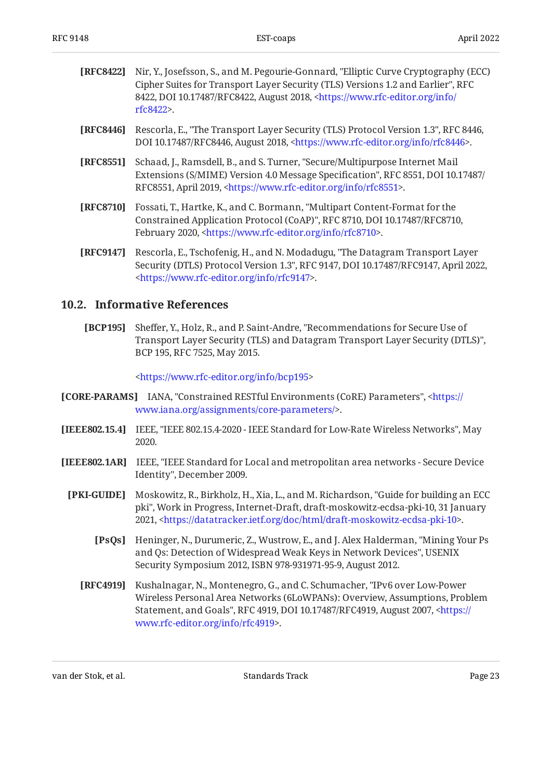<span id="page-22-2"></span>

| <b>[RFC8422]</b> Nir, Y., Josefsson, S., and M. Pegourie-Gonnard, "Elliptic Curve Cryptography (ECC) |
|------------------------------------------------------------------------------------------------------|
| Cipher Suites for Transport Layer Security (TLS) Versions 1.2 and Earlier", RFC                      |
| 8422, DOI 10.17487/RFC8422, August 2018, <https: <="" info="" th="" www.rfc-editor.org=""></https:>  |
| $rfc8422$ .                                                                                          |
|                                                                                                      |

- <span id="page-22-1"></span>**[RFC8446]** Rescorla, E., "The Transport Layer Security (TLS) Protocol Version 1.3", RFC 8446, DOI 10.17487/RFC8446, August 2018, <https://www.rfc-editor.org/info/rfc8446>.
- <span id="page-22-9"></span>**[RFC8551]** Schaad, J., Ramsdell, B., and S. Turner, "Secure/Multipurpose Internet Mail Extensions (S/MIME) Version 4.0 Message Specification", RFC 8551, DOI 10.17487/ RFC8551, April 2019, <https://www.rfc-editor.org/info/rfc8551>.
- <span id="page-22-5"></span>**[RFC8710]** Fossati, T., Hartke, K., and C. Bormann, "Multipart Content-Format for the Constrained Application Protocol (CoAP)", RFC 8710, DOI 10.17487/RFC8710, February 2020, <https://www.rfc-editor.org/info/rfc8710>.
- <span id="page-22-3"></span>**[RFC9147]** Rescorla, E., Tschofenig, H., and N. Modadugu, "The Datagram Transport Layer Security (DTLS) Protocol Version 1.3", RFC 9147, DOI 10.17487/RFC9147, April 2022, . [<https://www.rfc-editor.org/info/rfc9147](https://www.rfc-editor.org/info/rfc9147)>

#### <span id="page-22-0"></span>**[10.2. Informative References](#page-22-0)**

<span id="page-22-11"></span>**[BCP195]** Sheffer, Y., Holz, R., and P. Saint-Andre, "Recommendations for Secure Use of , Transport Layer Security (TLS) and Datagram Transport Layer Security (DTLS)" BCP 195, RFC 7525, May 2015.

[<https://www.rfc-editor.org/info/bcp195](https://www.rfc-editor.org/info/bcp195)>

- <span id="page-22-8"></span>**[CORE-PARAMS]** IANA, "Constrained RESTful Environments (CoRE) Parameters", <[https://](https://www.iana.org/assignments/core-parameters/) . [www.iana.org/assignments/core-parameters/](https://www.iana.org/assignments/core-parameters/)>
- <span id="page-22-6"></span>**[IEEE802.15.4]** IEEE, "IEEE 802.15.4-2020 - IEEE Standard for Low-Rate Wireless Networks", May 2020.
- <span id="page-22-12"></span><span id="page-22-10"></span><span id="page-22-7"></span><span id="page-22-4"></span>**[IEEE802.1AR]** IEEE, "IEEE Standard for Local and metropolitan area networks - Secure Device Identity", December 2009.
	- **[PKI-GUIDE]** Moskowitz, R., Birkholz, H., Xia, L., and M. Richardson, "Guide for building an ECC pki", Work in Progress, Internet-Draft, draft-moskowitz-ecdsa-pki-10, 31 January 2021, <https://datatracker.ietf.org/doc/html/draft-moskowitz-ecdsa-pki-10>.
		- **[PsQs]** Heninger, N., Durumeric, Z., Wustrow, E., and J. Alex Halderman, "Mining Your Ps and Qs: Detection of Widespread Weak Keys in Network Devices", USENIX Security Symposium 2012, ISBN 978-931971-95-9, August 2012.
		- **[RFC4919]** Kushalnagar, N., Montenegro, G., and C. Schumacher, "IPv6 over Low-Power Statement, and Goals", RFC 4919, DOI 10.17487/RFC4919, August 2007, [<https://](https://www.rfc-editor.org/info/rfc4919) . [www.rfc-editor.org/info/rfc4919>](https://www.rfc-editor.org/info/rfc4919) Wireless Personal Area Networks (6LoWPANs): Overview, Assumptions, Problem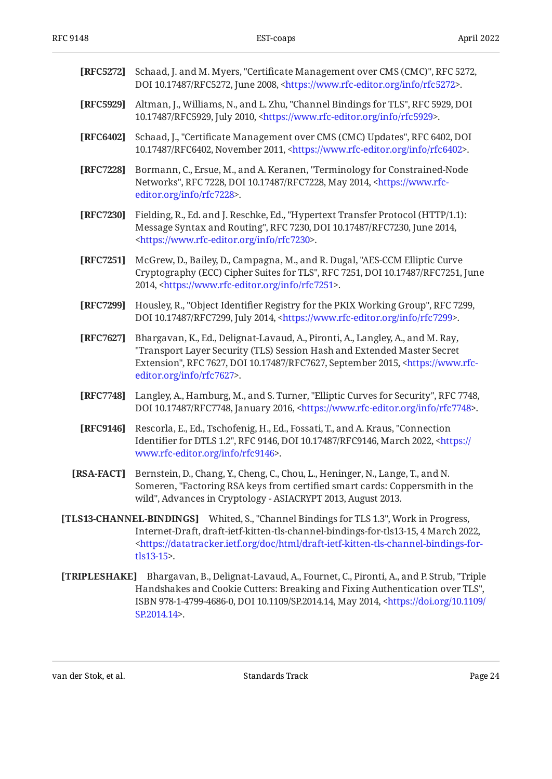<span id="page-23-12"></span><span id="page-23-11"></span><span id="page-23-8"></span><span id="page-23-7"></span><span id="page-23-4"></span><span id="page-23-3"></span><span id="page-23-1"></span><span id="page-23-0"></span>

| [RFC5272]     | Schaad, J. and M. Myers, "Certificate Management over CMS (CMC)", RFC 5272,<br>DOI 10.17487/RFC5272, June 2008, <https: info="" rfc5272="" www.rfc-editor.org="">.</https:>                                                                                                                             |
|---------------|---------------------------------------------------------------------------------------------------------------------------------------------------------------------------------------------------------------------------------------------------------------------------------------------------------|
| [RFC5929]     | Altman, J., Williams, N., and L. Zhu, "Channel Bindings for TLS", RFC 5929, DOI<br>10.17487/RFC5929, July 2010, <https: info="" rfc5929="" www.rfc-editor.org="">.</https:>                                                                                                                             |
| [RFC6402]     | Schaad, J., "Certificate Management over CMS (CMC) Updates", RFC 6402, DOI<br>10.17487/RFC6402, November 2011, <https: info="" rfc6402="" www.rfc-editor.org="">.</https:>                                                                                                                              |
| [RFC7228]     | Bormann, C., Ersue, M., and A. Keranen, "Terminology for Constrained-Node<br>Networks", RFC 7228, DOI 10.17487/RFC7228, May 2014, <https: www.rfc-<br="">editor.org/info/rfc7228&gt;.</https:>                                                                                                          |
| [RFC7230]     | Fielding, R., Ed. and J. Reschke, Ed., "Hypertext Transfer Protocol (HTTP/1.1):<br>Message Syntax and Routing", RFC 7230, DOI 10.17487/RFC7230, June 2014,<br><https: info="" rfc7230="" www.rfc-editor.org="">.</https:>                                                                               |
| [RFC7251]     | McGrew, D., Bailey, D., Campagna, M., and R. Dugal, "AES-CCM Elliptic Curve<br>Cryptography (ECC) Cipher Suites for TLS", RFC 7251, DOI 10.17487/RFC7251, June<br>2014, <https: info="" rfc7251="" www.rfc-editor.org="">.</https:>                                                                     |
| [RFC7299]     | Housley, R., "Object Identifier Registry for the PKIX Working Group", RFC 7299,<br>DOI 10.17487/RFC7299, July 2014, <https: info="" rfc7299="" www.rfc-editor.org="">.</https:>                                                                                                                         |
| [RFC7627]     | Bhargavan, K., Ed., Delignat-Lavaud, A., Pironti, A., Langley, A., and M. Ray,<br>"Transport Layer Security (TLS) Session Hash and Extended Master Secret<br>Extension", RFC 7627, DOI 10.17487/RFC7627, September 2015, <https: www.rfc-<br="">editor.org/info/rfc7627&gt;.</https:>                   |
| [RFC7748]     | Langley, A., Hamburg, M., and S. Turner, "Elliptic Curves for Security", RFC 7748,<br>DOI 10.17487/RFC7748, January 2016, <https: info="" rfc7748="" www.rfc-editor.org="">.</https:>                                                                                                                   |
| [RFC9146]     | Rescorla, E., Ed., Tschofenig, H., Ed., Fossati, T., and A. Kraus, "Connection<br>Identifier for DTLS 1.2", RFC 9146, DOI 10.17487/RFC9146, March 2022, <https: <br="">www.rfc-editor.org/info/rfc9146&gt;.</https:>                                                                                    |
| [RSA-FACT]    | Bernstein, D., Chang, Y., Cheng, C., Chou, L., Heninger, N., Lange, T., and N.<br>Someren, "Factoring RSA keys from certified smart cards: Coppersmith in the<br>wild", Advances in Cryptology - ASIACRYPT 2013, August 2013.                                                                           |
|               | [TLS13-CHANNEL-BINDINGS] Whited, S., "Channel Bindings for TLS 1.3", Work in Progress,<br>Internet-Draft, draft-ietf-kitten-tls-channel-bindings-for-tls13-15, 4 March 2022,<br><https: datatracker.ietf.org="" doc="" draft-ietf-kitten-tls-channel-bindings-for-<br="" html="">tls13-15&gt;.</https:> |
| [TRIPLESHAKE] | Bhargavan, B., Delignat-Lavaud, A., Fournet, C., Pironti, A., and P. Strub, "Triple<br>Handshakes and Cookie Cutters: Breaking and Fixing Authentication over TLS",<br>ISBN 978-1-4799-4686-0, DOI 10.1109/SP.2014.14, May 2014, <https: 10.1109="" <="" doi.org="" th=""></https:>                     |

van der Stok, et al. November 1988 standards Track Page 24 august 24 august 24 august 24 august 24 august 24 august 24 august 24 august 25 august 25 august 25 august 25 august 25 august 25 august 25 august 26 august 26 aug

<span id="page-23-10"></span><span id="page-23-9"></span><span id="page-23-6"></span><span id="page-23-5"></span><span id="page-23-2"></span>. [SP.2014.14>](https://doi.org/10.1109/SP.2014.14)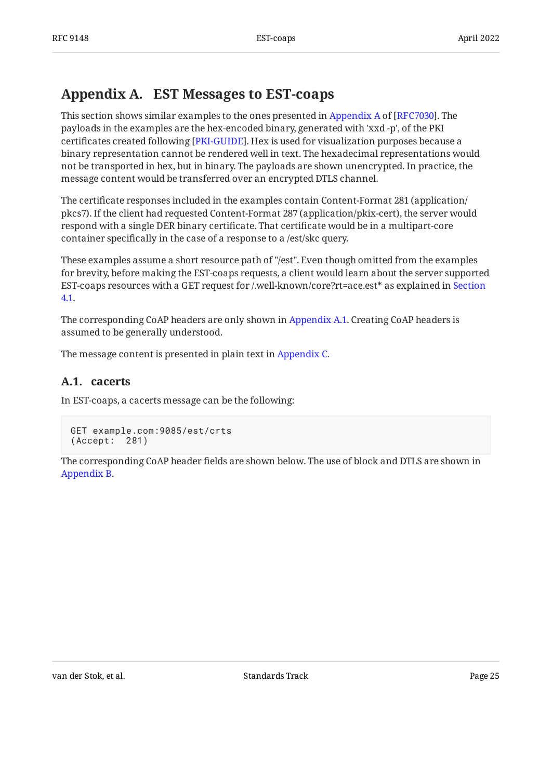## <span id="page-24-0"></span>**[Appendix A. EST Messages to EST-coaps](#page-24-0)**

Thissection shows similar examples to the ones presented in Appendix A of [RFC7030]. The payloads in the examples are the hex-encoded binary, generated with 'xxd -p', of the PKI certificates created following [PKI-GUIDE]. Hex is used for visualization purposes because a binary representation cannot be rendered well in text. The hexadecimal representations would not be transported in hex, but in binary. The payloads are shown unencrypted. In practice, the message content would be transferred over an encrypted DTLS channel.

The certificate responses included in the examples contain Content-Format 281 (application/ pkcs7). If the client had requested Content-Format 287 (application/pkix-cert), the server would respond with a single DER binary certificate. That certificate would be in a multipart-core container specifically in the case of a response to a /est/skc query.

These examples assume a short resource path of "/est". Even though omitted from the examples for brevity, before making the EST-coaps requests, a client would learn about the server supported EST-coaps resources with a GET request for /.well-known/core?rt=ace.est\* as explained in [Section](#page-5-1) [4.1.](#page-5-1)

The corresponding CoAP headers are only shown in [Appendix A.1](#page-24-1). Creating CoAP headers is assumed to be generally understood.

<span id="page-24-1"></span>The message content is presented in plain text in [Appendix C](#page-34-0).

#### **[A.1. cacerts](#page-24-1)**

In EST-coaps, a cacerts message can be the following:

```
GET example.com:9085/est/crts
(Accept: 281)
```
The corresponding CoAP header fields are shown below. The use of block and DTLS are shown in [Appendix B.](#page-30-0)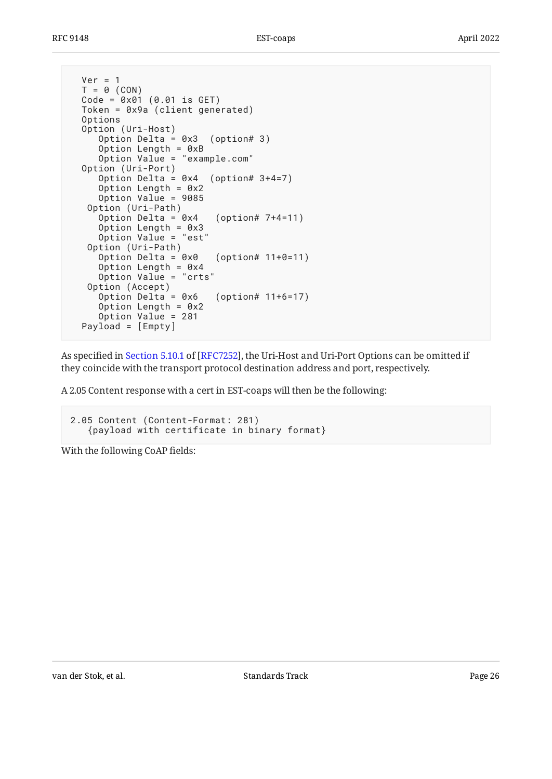```
Ver = 1T = 0 (CON)
Code = 0 \times 01 (0.01 is GET) Token = 0x9a (client generated)
 Options
 Option (Uri-Host)
    Option Delta = 0x3 (option# 3)
    Option Length = 0xB
    Option Value = "example.com"
 Option (Uri-Port)
    Option Delta = 0x4 (option# 3+4=7)
    Option Length = 0x2
    Option Value = 9085
  Option (Uri-Path)
    Option Delta = 0x4 (option# 7+4=11)
    Option Length = 0x3
    Option Value = "est"
  Option (Uri-Path)
   Option Delta = 0 \times 0 (option# 11+0=11)
   Option Length = 0x4 Option Value = "crts"
  Option (Accept)
   Option Delta = 0 \times 6 (option# 11+6=17)
   Option Length = 0x2 Option Value = 281
 Payload = [Empty]
```
Asspecified in Section 5.10.1 of [RFC7252], the Uri-Host and Uri-Port Options can be omitted if they coincide with the transport protocol destination address and port, respectively.

A 2.05 Content response with a cert in EST-coaps will then be the following:

```
2.05 Content (Content-Format: 281)
    {payload with certificate in binary format}
```
With the following CoAP fields: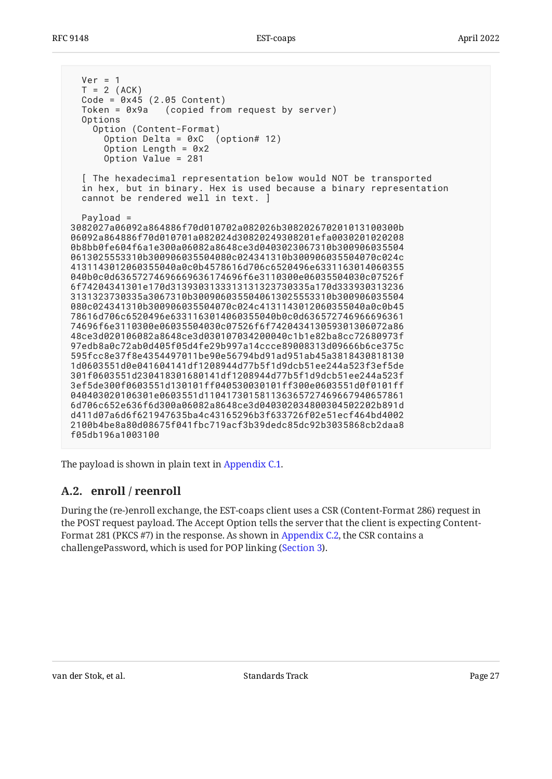$Ver = 1$  $T = 2$  (ACK) Code = 0x45 (2.05 Content) Token = 0x9a (copied from request by server) Options Option (Content-Format) Option Delta = 0xC (option# 12) Option Length =  $0x2$  Option Value = 281 [ The hexadecimal representation below would NOT be transported in hex, but in binary. Hex is used because a binary representation cannot be rendered well in text. ] Payload = 3082027a06092a864886f70d010702a082026b308202670201013100300b 06092a864886f70d010701a082024d30820249308201efa0030201020208 0b8bb0fe604f6a1e300a06082a8648ce3d0403023067310b300906035504 0613025553310b300906035504080c024341310b300906035504070c024c 4131143012060355040a0c0b4578616d706c6520496e6331163014060355 040b0c0d63657274696669636174696f6e3110300e06035504030c07526f 6f74204341301e170d3139303133313131323730335a170d333930313236 3131323730335a3067310b3009060355040613025553310b300906035504 080c024341310b300906035504070c024c4131143012060355040a0c0b45 78616d706c6520496e6331163014060355040b0c0d636572746966696361 74696f6e3110300e06035504030c07526f6f742043413059301306072a86 48ce3d020106082a8648ce3d030107034200040c1b1e82ba8cc72680973f 97edb8a0c72ab0d405f05d4fe29b997a14ccce89008313d09666b6ce375c 595fcc8e37f8e4354497011be90e56794bd91ad951ab45a3818430818130 1d0603551d0e041604141df1208944d77b5f1d9dcb51ee244a523f3ef5de 301f0603551d230418301680141df1208944d77b5f1d9dcb51ee244a523f 3ef5de300f0603551d130101ff040530030101ff300e0603551d0f0101ff 040403020106301e0603551d110417301581136365727469667940657861 6d706c652e636f6d300a06082a8648ce3d040302034800304502202b891d d411d07a6d6f621947635ba4c43165296b3f633726f02e51ecf464bd4002 2100b4be8a80d08675f041fbc719acf3b39dedc85dc92b3035868cb2daa8 f05db196a1003100

<span id="page-26-0"></span>The payload is shown in plain text in [Appendix C.1.](#page-34-1)

#### **[A.2. enroll / reenroll](#page-26-0)**

During the (re-)enroll exchange, the EST-coaps client uses a CSR (Content-Format 286) request in the POST request payload. The Accept Option tells the server that the client is expecting Content-Format 281 (PKCS #7) in the response. As shown in [Appendix C.2,](#page-35-0) the CSR contains a challengePassword, which is used for POP linking [\(Section 3](#page-3-1)).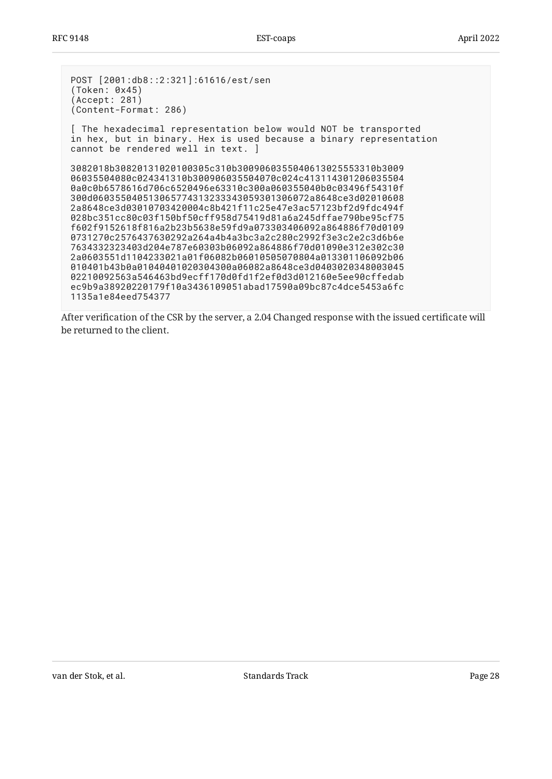POST [2001:db8::2:321]:61616/est/sen (Token: 0x45) (Accept: 281) (Content-Format: 286) [ The hexadecimal representation below would NOT be transported in hex, but in binary. Hex is used because a binary representation cannot be rendered well in text. ] 3082018b30820131020100305c310b3009060355040613025553310b3009 06035504080c024341310b300906035504070c024c413114301206035504 0a0c0b6578616d706c6520496e63310c300a060355040b0c03496f54310f 300d060355040513065774313233343059301306072a8648ce3d02010608 2a8648ce3d03010703420004c8b421f11c25e47e3ac57123bf2d9fdc494f 028bc351cc80c03f150bf50cff958d75419d81a6a245dffae790be95cf75 f602f9152618f816a2b23b5638e59fd9a073303406092a864886f70d0109 0731270c2576437630292a264a4b4a3bc3a2c280c2992f3e3c2e2c3d6b6e 7634332323403d204e787e60303b06092a864886f70d01090e312e302c30 2a0603551d1104233021a01f06082b06010505070804a013301106092b06 010401b43b0a01040401020304300a06082a8648ce3d0403020348003045 02210092563a546463bd9ecff170d0fd1f2ef0d3d012160e5ee90cffedab ec9b9a38920220179f10a3436109051abad17590a09bc87c4dce5453a6fc 1135a1e84eed754377

After verification of the CSR by the server, a 2.04 Changed response with the issued certificate will be returned to the client.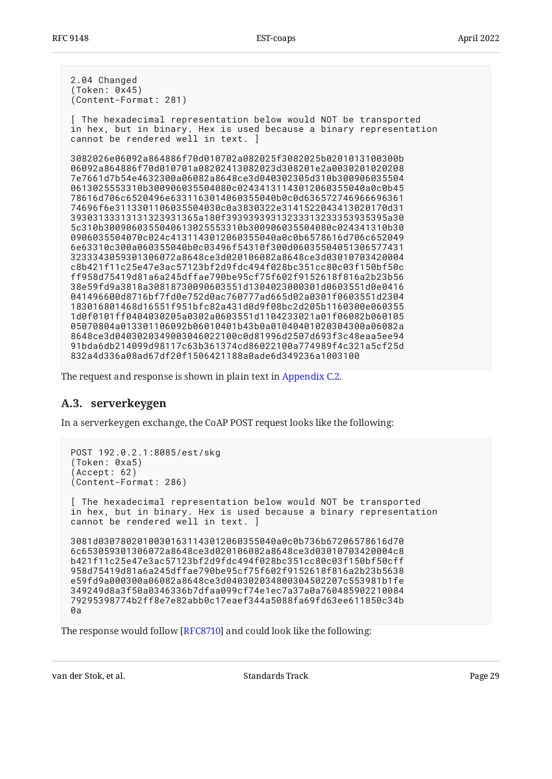2.04 Changed (Token: 0x45) (Content-Format: 281) [ The hexadecimal representation below would NOT be transported in hex, but in binary. Hex is used because a binary representation cannot be rendered well in text. ] 3082026e06092a864886f70d010702a082025f3082025b0201013100300b 06092a864886f70d010701a08202413082023d308201e2a0030201020208 7e7661d7b54e4632300a06082a8648ce3d040302305d310b300906035504 0613025553310b300906035504080c02434131143012060355040a0c0b45 78616d706c6520496e6331163014060355040b0c0d636572746966696361 74696f6e3113301106035504030c0a3830322e3141522043413020170d31 39303133313131323931365a180f39393939313233313233353935395a30 5c310b3009060355040613025553310b300906035504080c024341310b30 0906035504070c024c4131143012060355040a0c0b6578616d706c652049 6e63310c300a060355040b0c03496f54310f300d06035504051306577431 3233343059301306072a8648ce3d020106082a8648ce3d03010703420004 c8b421f11c25e47e3ac57123bf2d9fdc494f028bc351cc80c03f150bf50c ff958d75419d81a6a245dffae790be95cf75f602f9152618f816a2b23b56 38e59fd9a3818a30818730090603551d1304023000301d0603551d0e0416 041496600d8716bf7fd0e752d0ac760777ad665d02a0301f0603551d2304 183016801468d16551f951bfc82a431d0d9f08bc2d205b1160300e060355 1d0f0101ff0404030205a0302a0603551d1104233021a01f06082b060105 05070804a013301106092b06010401b43b0a01040401020304300a06082a 8648ce3d0403020349003046022100c0d81996d2507d693f3c48eaa5ee94 91bda6db214099d98117c63b361374cd86022100a774989f4c321a5cf25d 832a4d336a08ad67df20f1506421188a0ade6d349236a1003100

<span id="page-28-0"></span>The request and response is shown in plain text in [Appendix C.2.](#page-35-0)

#### **[A.3. serverkeygen](#page-28-0)**

In a serverkeygen exchange, the CoAP POST request looks like the following:

```
POST 192.0.2.1:8085/est/skg
(Token: 0xa5)
(Accept: 62)
(Content-Format: 286)
[ The hexadecimal representation below would NOT be transported
in hex, but in binary. Hex is used because a binary representation
cannot be rendered well in text. ]
3081d03078020100301631143012060355040a0c0b736b67206578616d70
6c653059301306072a8648ce3d020106082a8648ce3d03010703420004c8
b421f11c25e47e3ac57123bf2d9fdc494f028bc351cc80c03f150bf50cff
958d75419d81a6a245dffae790be95cf75f602f9152618f816a2b23b5638
e59fd9a000300a06082a8648ce3d040302034800304502207c553981b1fe
349249d8a3f50a0346336b7dfaa099cf74e1ec7a37a0a760485902210084
79295398774b2ff8e7e82abb0c17eaef344a5088fa69fd63ee611850c34b
0a
```
The response would follow [RFC8710] and could look like the following: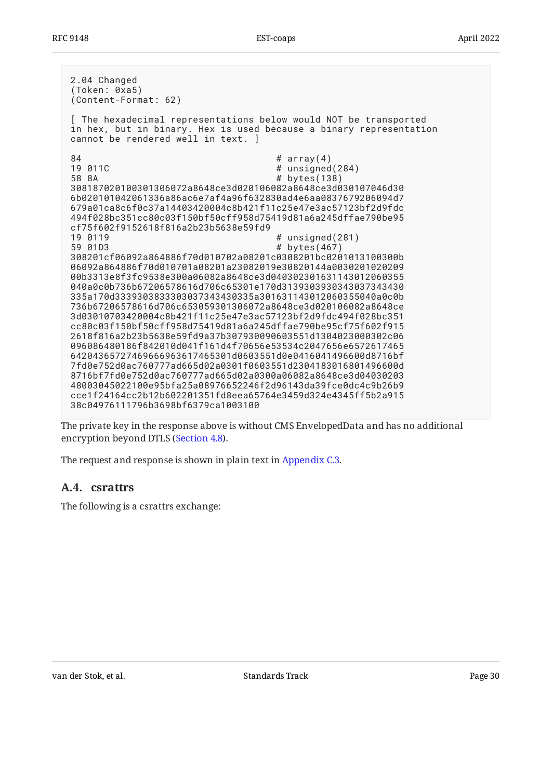| 2.04 Changed<br>(Token: 0xa5)<br>(Content-Format: 62)                                                                                                                                                                                                                                                                                                                                                                                                                                                                                                                                                                                                                                                                                                                                                                                                                                                                                                                                                                                                                                                                                                                                                                                                                                                                                                                                                                                                                                  |
|----------------------------------------------------------------------------------------------------------------------------------------------------------------------------------------------------------------------------------------------------------------------------------------------------------------------------------------------------------------------------------------------------------------------------------------------------------------------------------------------------------------------------------------------------------------------------------------------------------------------------------------------------------------------------------------------------------------------------------------------------------------------------------------------------------------------------------------------------------------------------------------------------------------------------------------------------------------------------------------------------------------------------------------------------------------------------------------------------------------------------------------------------------------------------------------------------------------------------------------------------------------------------------------------------------------------------------------------------------------------------------------------------------------------------------------------------------------------------------------|
| [ The hexadecimal representations below would NOT be transported<br>in hex, but in binary. Hex is used because a binary representation<br>cannot be rendered well in text. ]                                                                                                                                                                                                                                                                                                                                                                                                                                                                                                                                                                                                                                                                                                                                                                                                                                                                                                                                                                                                                                                                                                                                                                                                                                                                                                           |
| 84<br># $array(4)$<br>19 011C<br># unsigned(284)<br># bytes(138)<br>58 8A<br>308187020100301306072a8648ce3d020106082a8648ce3d030107046d30<br>6b020101042061336a86ac6e7af4a96f632830ad4e6aa0837679206094d7<br>679a01ca8c6f0c37a14403420004c8b421f11c25e47e3ac57123bf2d9fdc<br>494f028bc351cc80c03f150bf50cff958d75419d81a6a245dffae790be95<br>cf75f602f9152618f816a2b23b5638e59fd9<br># unsigned(281)<br>19 0119<br>bytes $(467)$<br>59 01D3<br>#<br>308201cf06092a864886f70d010702a08201c0308201bc0201013100300b<br>06092a864886f70d010701a08201a23082019e30820144a0030201020209<br>00b3313e8f3fc9538e300a06082a8648ce3d040302301631143012060355<br>040a0c0b736b67206578616d706c65301e170d3139303930343037343430<br>335a170d3339303833303037343430335a301631143012060355040a0c0b<br>736b67206578616d706c653059301306072a8648ce3d020106082a8648ce<br>3d03010703420004c8b421f11c25e47e3ac57123bf2d9fdc494f028bc351<br>cc80c03f150bf50cff958d75419d81a6a245dffae790be95cf75f602f915<br>2618f816a2b23b5638e59fd9a37b307930090603551d1304023000302c06<br>096086480186f842010d041f161d4f70656e53534c2047656e6572617465<br>64204365727469666963617465301d0603551d0e0416041496600d8716bf<br>7fd0e752d0ac760777ad665d02a0301f0603551d2304183016801496600d<br>8716bf7fd0e752d0ac760777ad665d02a0300a06082a8648ce3d04030203<br>48003045022100e95bfa25a08976652246f2d96143da39fce0dc4c9b26b9<br>cce1f24164cc2b12b602201351fd8eea65764e3459d324e4345ff5b2a915<br>38c04976111796b3698bf6379ca1003100 |

The private key in the response above is without CMS EnvelopedData and has no additional encryption beyond DTLS ([Section 4.8\)](#page-13-0).

<span id="page-29-0"></span>The request and response is shown in plain text in [Appendix C.3.](#page-37-0)

#### **[A.4. csrattrs](#page-29-0)**

The following is a csrattrs exchange: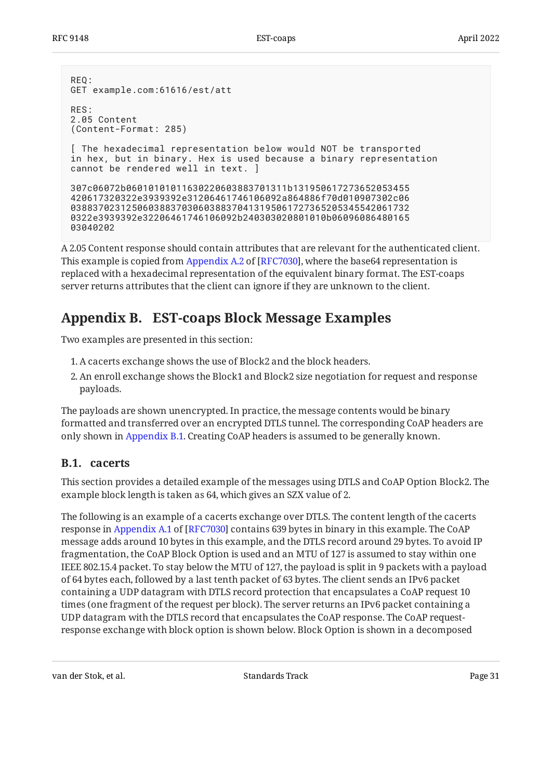```
REQ:
GET example.com:61616/est/att
RES:
2.05 Content
(Content-Format: 285)
[ The hexadecimal representation below would NOT be transported
in hex, but in binary. Hex is used because a binary representation
cannot be rendered well in text. ]
307c06072b06010101011630220603883701311b131950617273652053455
420617320322e3939392e31206461746106092a864886f70d010907302c06
0388370231250603883703060388370413195061727365205345542061732
0322e3939392e32206461746106092b240303020801010b06096086480165
03040202
```
A 2.05 Content response should contain attributes that are relevant for the authenticated client. Thisexample is copied from Appendix A.2 of [RFC7030], where the base64 representation is replaced with a hexadecimal representation of the equivalent binary format. The EST-coaps server returns attributes that the client can ignore if they are unknown to the client.

### <span id="page-30-0"></span>**[Appendix B. EST-coaps Block Message Examples](#page-30-0)**

Two examples are presented in this section:

- A cacerts exchange shows the use of Block2 and the block headers. 1.
- An enroll exchange shows the Block1 and Block2 size negotiation for request and response 2. payloads.

The payloads are shown unencrypted. In practice, the message contents would be binary formatted and transferred over an encrypted DTLS tunnel. The corresponding CoAP headers are only shown in [Appendix B.1.](#page-30-1) Creating CoAP headers is assumed to be generally known.

#### <span id="page-30-1"></span>**[B.1. cacerts](#page-30-1)**

This section provides a detailed example of the messages using DTLS and CoAP Option Block2. The example block length is taken as 64, which gives an SZX value of 2.

The following is an example of a cacerts exchange over DTLS. The content length of the cacerts responsein Appendix A.1 of [RFC7030] contains 639 bytes in binary in this example. The CoAP message adds around 10 bytes in this example, and the DTLS record around 29 bytes. To avoid IP fragmentation, the CoAP Block Option is used and an MTU of 127 is assumed to stay within one IEEE 802.15.4 packet. To stay below the MTU of 127, the payload is split in 9 packets with a payload of 64 bytes each, followed by a last tenth packet of 63 bytes. The client sends an IPv6 packet containing a UDP datagram with DTLS record protection that encapsulates a CoAP request 10 times (one fragment of the request per block). The server returns an IPv6 packet containing a UDP datagram with the DTLS record that encapsulates the CoAP response. The CoAP requestresponse exchange with block option is shown below. Block Option is shown in a decomposed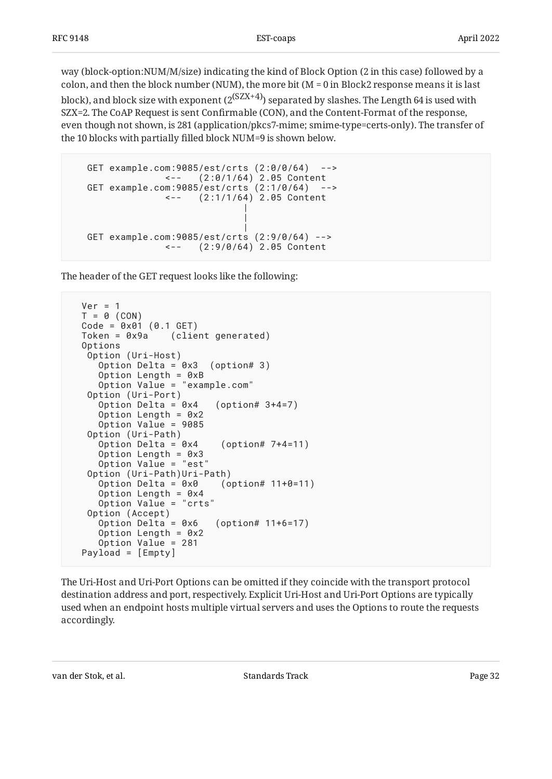way (block-option:NUM/M/size) indicating the kind of Block Option (2 in this case) followed by a colon, and then the block number (NUM), the more bit ( $M = 0$  in Block2 response means it is last

block), and block size with exponent ( $2^{(SZX+4)}$ ) separated by slashes. The Length 64 is used with SZX=2. The CoAP Request is sent Confirmable (CON), and the Content-Format of the response, even though not shown, is 281 (application/pkcs7-mime; smime-type=certs-only). The transfer of the 10 blocks with partially filled block NUM=9 is shown below.

```
 GET example.com:9085/est/crts (2:0/0/64) -->
             <-- (2:0/1/64) 2.05 Content
  GET example.com:9085/est/crts (2:1/0/64) -->
             <-- (2:1/1/64) 2.05 Content
 |
 |
 |
  GET example.com:9085/est/crts (2:9/0/64) -->
                (2:9/0/64) 2.05 Content
```
The header of the GET request looks like the following:

```
Ver = 1T = 0 (CON)
 Code = 0 \times 01 (0.1 \text{ GET})<br>Token = 0 \times 9a (clie
                   (client generated)
  Options
    Option (Uri-Host)
      Option Delta = 0x3 (option# 3)
      Option Length = 0xB
      Option Value = "example.com"
    Option (Uri-Port)
     Option Delta = 0x4 (option# 3+4=7)
     Option Length = 0x2 Option Value = 9085
    Option (Uri-Path)
     Option Delta = 0 \times 4 (option# 7+4=11)
      Option Length = 0x3
      Option Value = "est"
   Option (Uri-Path)Uri-Path)<br>Option Delta = 0x0 (option# 11+0=11)
     Option Delta = 0 \times 0 Option Length = 0x4
 Option Value = "crts"
    Option (Accept)
     Option Delta = 0x6 (option# 11+6=17)
     Option Length = 0x2 Option Value = 281
  Payload = [Empty]
```
The Uri-Host and Uri-Port Options can be omitted if they coincide with the transport protocol destination address and port, respectively. Explicit Uri-Host and Uri-Port Options are typically used when an endpoint hosts multiple virtual servers and uses the Options to route the requests accordingly.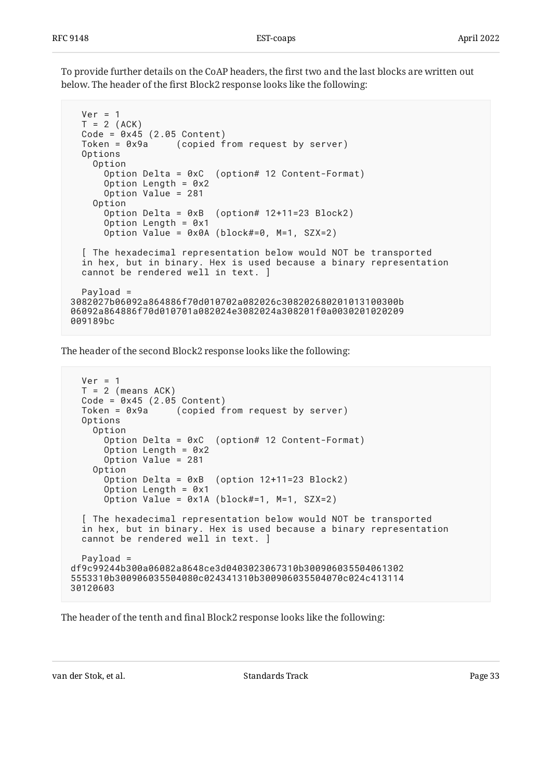To provide further details on the CoAP headers, the first two and the last blocks are written out below. The header of the first Block2 response looks like the following:

```
Ver = 1T = 2 (ACK)
  Code = 0 \times 45 (2.05 Content)
   Token = 0x9a (copied from request by server)
   Options
     Option
       Option Delta = 0xC (option# 12 Content-Format)
      Option Length = 0x2 Option Value = 281
     Option
       Option Delta = 0xB (option# 12+11=23 Block2)
       Option Length = 0x1
       Option Value = 0x0A (block#=0, M=1, SZX=2)
   [ The hexadecimal representation below would NOT be transported
   in hex, but in binary. Hex is used because a binary representation
   cannot be rendered well in text. ]
   Payload =
3082027b06092a864886f70d010702a082026c308202680201013100300b
06092a864886f70d010701a082024e3082024a308201f0a0030201020209
009189bc
```
The header of the second Block2 response looks like the following:

```
Ver = 1T = 2 (means ACK)
   Code = 0x45 (2.05 Content)
   Token = 0x9a (copied from request by server)
   Options
     Option
       Option Delta = 0xC (option# 12 Content-Format)
       Option Length = 0x2
       Option Value = 281
     Option
       Option Delta = 0xB (option 12+11=23 Block2)
       Option Length = 0x1
       Option Value = 0x1A (block#=1, M=1, SZX=2)
   [ The hexadecimal representation below would NOT be transported
   in hex, but in binary. Hex is used because a binary representation
   cannot be rendered well in text. ]
   Payload =
df9c99244b300a06082a8648ce3d0403023067310b300906035504061302
5553310b300906035504080c024341310b300906035504070c024c413114
30120603
```
The header of the tenth and final Block2 response looks like the following: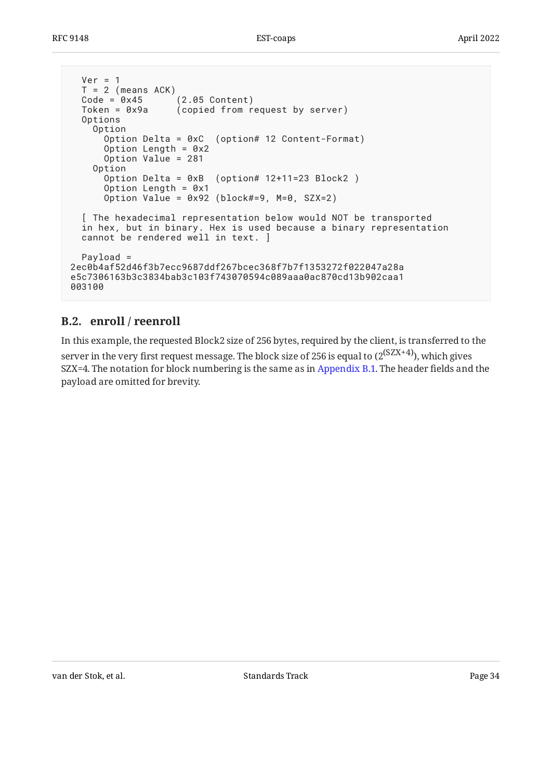```
Ver = 1T = 2 (means ACK)
   Code = 0x45 (2.05 Content)
  Token = 0x9a (copied from request by server)
   Options
     Option
       Option Delta = 0xC (option# 12 Content-Format)
      Option Length = 0x2 Option Value = 281
     Option
       Option Delta = 0xB (option# 12+11=23 Block2 )
       Option Length = 0x1
      Option Value = 0 \times 92 (block#=9, M=0, SZX=2)
   [ The hexadecimal representation below would NOT be transported
   in hex, but in binary. Hex is used because a binary representation
   cannot be rendered well in text. ]
   Payload =
2ec0b4af52d46f3b7ecc9687ddf267bcec368f7b7f1353272f022047a28a
e5c7306163b3c3834bab3c103f743070594c089aaa0ac870cd13b902caa1
003100
```
#### <span id="page-33-0"></span>**[B.2. enroll / reenroll](#page-33-0)**

<span id="page-33-1"></span>In this example, the requested Block2 size of 256 bytes, required by the client, is transferred to the server in the very first request message. The block size of 256 is equal to  $(2^{(SZX+4)})$ , which gives SZX=4. The notation for block numbering is the same as in [Appendix B.1.](#page-30-1) The header fields and the payload are omitted for brevity.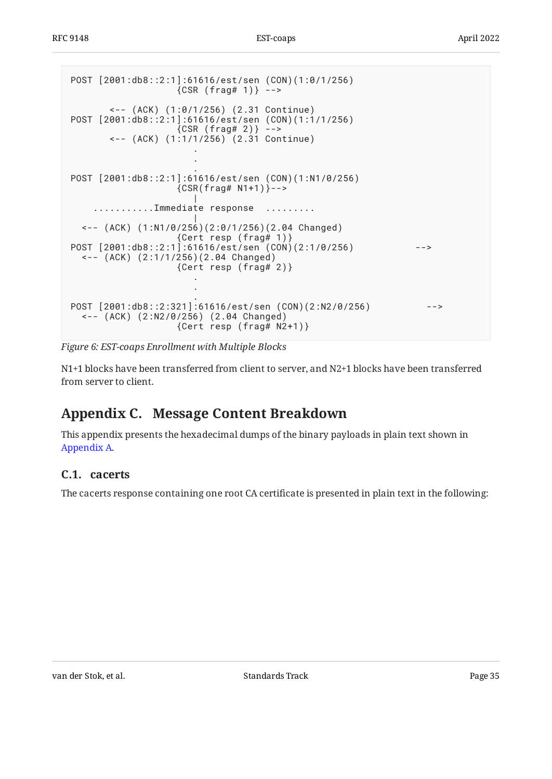```
POST [2001:db8::2:1]:61616/est/sen (CON)(1:0/1/256)
              {CSR (frag# 1)} - - <-- (ACK) (1:0/1/256) (2.31 Continue)
POST [2001:db8::2:1]:61616/est/sen (CON)(1:1/1/256)
 {CSR (frag# 2)} -->
 <-- (ACK) (1:1/1/256) (2.31 Continue)
 .
 .
 .
POST [2001:db8::2:1]:61616/est/sen (CON)(1:N1/0/256)
              {CSR(frag# N1+1)}-->
 |
   ...........Immediate response .........
 |
 <-- (ACK) (1:N1/0/256)(2:0/1/256)(2.04 Changed)
 {Cert resp (frag# 1)}
POST [2001:db8::2:1]:61616/est/sen (CON)(2:1/0/256) -->
  <-- (ACK) (2:1/1/256)(2.04 Changed)
               {Cert resp (frag# 2)}
 .
 .
 .
POST [2001:db8::2:321]:61616/est/sen (CON)(2:N2/0/256) -->
  <-- (ACK) (2:N2/0/256) (2.04 Changed)
               {Cert resp (frag# N2+1)}
```
*[Figure 6:](#page-34-2) [EST-coaps Enrollment with Multiple Blocks](#page-33-1)* 

N1+1 blocks have been transferred from client to server, and N2+1 blocks have been transferred from server to client.

## <span id="page-34-0"></span>**[Appendix C. Message Content Breakdown](#page-34-0)**

This appendix presents the hexadecimal dumps of the binary payloads in plain text shown in [Appendix A.](#page-24-0)

#### <span id="page-34-1"></span>**[C.1. cacerts](#page-34-1)**

The cacerts response containing one root CA certificate is presented in plain text in the following: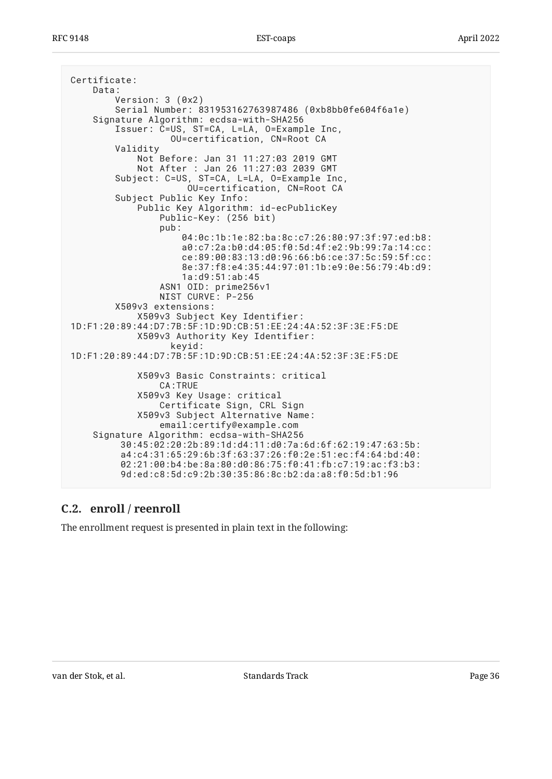```
Certificate:
     Data:
         Version: 3 (0x2)
         Serial Number: 831953162763987486 (0xb8bb0fe604f6a1e)
     Signature Algorithm: ecdsa-with-SHA256
         Issuer: C=US, ST=CA, L=LA, O=Example Inc,
                    OU=certification, CN=Root CA
         Validity
             Not Before: Jan 31 11:27:03 2019 GMT
             Not After : Jan 26 11:27:03 2039 GMT
         Subject: C=US, ST=CA, L=LA, O=Example Inc,
                       OU=certification, CN=Root CA
         Subject Public Key Info:
             Public Key Algorithm: id-ecPublicKey
                 Public-Key: (256 bit)
                 pub:
                      04:0c:1b:1e:82:ba:8c:c7:26:80:97:3f:97:ed:b8:
                      a0:c7:2a:b0:d4:05:f0:5d:4f:e2:9b:99:7a:14:cc:
                      ce:89:00:83:13:d0:96:66:b6:ce:37:5c:59:5f:cc:
                      8e:37:f8:e4:35:44:97:01:1b:e9:0e:56:79:4b:d9:
                      1a:d9:51:ab:45
                 ASN1 OID: prime256v1
                 NIST CURVE: P-256
         X509v3 extensions:
             X509v3 Subject Key Identifier:
1D:F1:20:89:44:D7:7B:5F:1D:9D:CB:51:EE:24:4A:52:3F:3E:F5:DE
             X509v3 Authority Key Identifier:
                    keyid:
1D:F1:20:89:44:D7:7B:5F:1D:9D:CB:51:EE:24:4A:52:3F:3E:F5:DE
             X509v3 Basic Constraints: critical
                 CA:TRUE
             X509v3 Key Usage: critical
                 Certificate Sign, CRL Sign
             X509v3 Subject Alternative Name:
                 email:certify@example.com
    Signature Algorithm: ecdsa-with-SHA256
          30:45:02:20:2b:89:1d:d4:11:d0:7a:6d:6f:62:19:47:63:5b:
          a4:c4:31:65:29:6b:3f:63:37:26:f0:2e:51:ec:f4:64:bd:40:
          02:21:00:b4:be:8a:80:d0:86:75:f0:41:fb:c7:19:ac:f3:b3:
          9d:ed:c8:5d:c9:2b:30:35:86:8c:b2:da:a8:f0:5d:b1:96
```
#### <span id="page-35-0"></span>**[C.2. enroll / reenroll](#page-35-0)**

The enrollment request is presented in plain text in the following: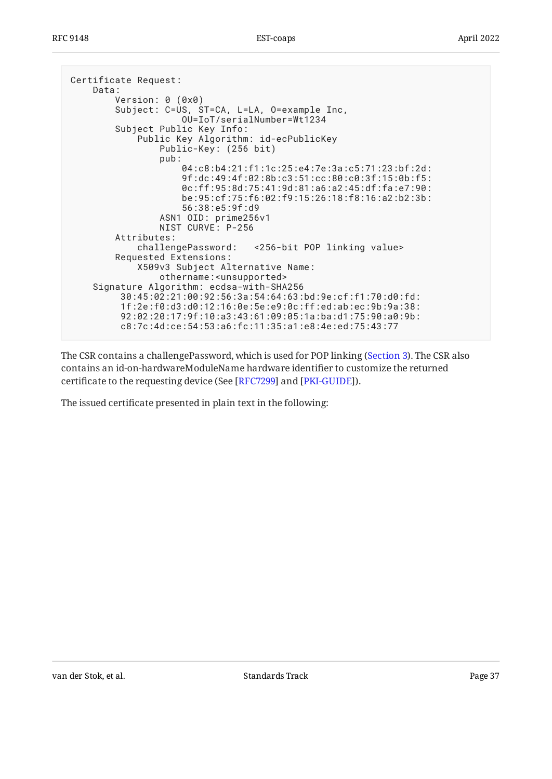```
Certificate Request:
     Data:
         Version: 0 (0x0)
         Subject: C=US, ST=CA, L=LA, O=example Inc,
                      OU=IoT/serialNumber=Wt1234
         Subject Public Key Info:
             Public Key Algorithm: id-ecPublicKey
                 Public-Key: (256 bit)
                 pub:
                      04:c8:b4:21:f1:1c:25:e4:7e:3a:c5:71:23:bf:2d:
                      9f:dc:49:4f:02:8b:c3:51:cc:80:c0:3f:15:0b:f5:
                      0c:ff:95:8d:75:41:9d:81:a6:a2:45:df:fa:e7:90:
                      be:95:cf:75:f6:02:f9:15:26:18:f8:16:a2:b2:3b:
                      56:38:e5:9f:d9
                 ASN1 OID: prime256v1
                 NIST CURVE: P-256
         Attributes:
             challengePassword: <256-bit POP linking value>
         Requested Extensions:
             X509v3 Subject Alternative Name:
                 othername:<unsupported>
     Signature Algorithm: ecdsa-with-SHA256
          30:45:02:21:00:92:56:3a:54:64:63:bd:9e:cf:f1:70:d0:fd:
          1f:2e:f0:d3:d0:12:16:0e:5e:e9:0c:ff:ed:ab:ec:9b:9a:38:
          92:02:20:17:9f:10:a3:43:61:09:05:1a:ba:d1:75:90:a0:9b:
          c8:7c:4d:ce:54:53:a6:fc:11:35:a1:e8:4e:ed:75:43:77
```
The CSR contains a challengePassword, which is used for POP linking ([Section 3\)](#page-3-1). The CSR also contains an id-on-hardwareModuleName hardware identifier to customize the returned certificate to the requesting device (See [RFC7299] and [PKI-GUIDE]).

The issued certificate presented in plain text in the following: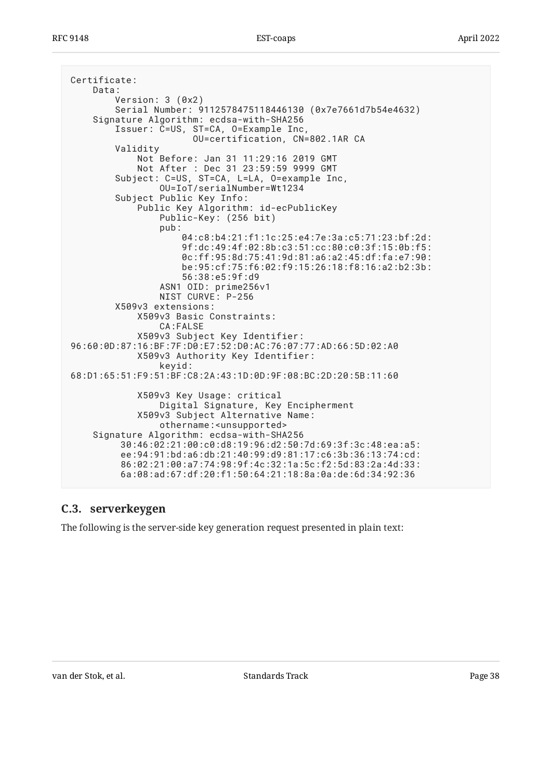```
Certificate:
     Data:
         Version: 3 (0x2)
         Serial Number: 9112578475118446130 (0x7e7661d7b54e4632)
     Signature Algorithm: ecdsa-with-SHA256
         Issuer: C=US, ST=CA, O=Example Inc,
                        OU=certification, CN=802.1AR CA
         Validity
             Not Before: Jan 31 11:29:16 2019 GMT
             Not After : Dec 31 23:59:59 9999 GMT
         Subject: C=US, ST=CA, L=LA, O=example Inc,
                 OU=IoT/serialNumber=Wt1234
         Subject Public Key Info:
             Public Key Algorithm: id-ecPublicKey
                 Public-Key: (256 bit)
                 pub:
                      04:c8:b4:21:f1:1c:25:e4:7e:3a:c5:71:23:bf:2d:
                      9f:dc:49:4f:02:8b:c3:51:cc:80:c0:3f:15:0b:f5:
                      0c:ff:95:8d:75:41:9d:81:a6:a2:45:df:fa:e7:90:
                      be:95:cf:75:f6:02:f9:15:26:18:f8:16:a2:b2:3b:
                      56:38:e5:9f:d9
                 ASN1 OID: prime256v1
                 NIST CURVE: P-256
         X509v3 extensions:
             X509v3 Basic Constraints:
                  CA:FALSE
             X509v3 Subject Key Identifier:
96:60:0D:87:16:BF:7F:D0:E7:52:D0:AC:76:07:77:AD:66:5D:02:A0
             X509v3 Authority Key Identifier:
                 keyid:
68:D1:65:51:F9:51:BF:C8:2A:43:1D:0D:9F:08:BC:2D:20:5B:11:60
             X509v3 Key Usage: critical
                 Digital Signature, Key Encipherment
             X509v3 Subject Alternative Name:
                 othername:<unsupported>
     Signature Algorithm: ecdsa-with-SHA256
          30:46:02:21:00:c0:d8:19:96:d2:50:7d:69:3f:3c:48:ea:a5:
          ee:94:91:bd:a6:db:21:40:99:d9:81:17:c6:3b:36:13:74:cd:
          86:02:21:00:a7:74:98:9f:4c:32:1a:5c:f2:5d:83:2a:4d:33:
          6a:08:ad:67:df:20:f1:50:64:21:18:8a:0a:de:6d:34:92:36
```
#### <span id="page-37-0"></span>**[C.3. serverkeygen](#page-37-0)**

The following is the server-side key generation request presented in plain text: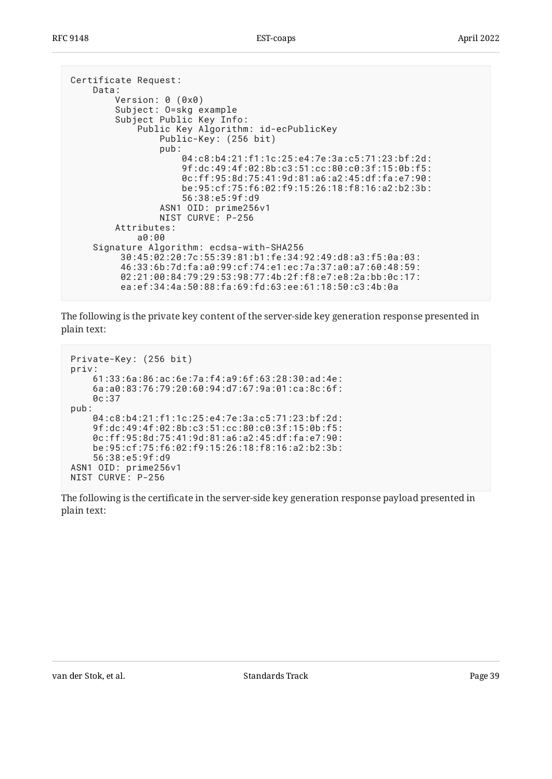```
Certificate Request:
     Data:
         Version: 0 (0x0)
         Subject: O=skg example
         Subject Public Key Info:
             Public Key Algorithm: id-ecPublicKey
                  Public-Key: (256 bit)
                  pub:
                      04:c8:b4:21:f1:1c:25:e4:7e:3a:c5:71:23:bf:2d:
                      9f:dc:49:4f:02:8b:c3:51:cc:80:c0:3f:15:0b:f5:
                      0c:ff:95:8d:75:41:9d:81:a6:a2:45:df:fa:e7:90:
                      be:95:cf:75:f6:02:f9:15:26:18:f8:16:a2:b2:3b:
                      56:38:e5:9f:d9
                  ASN1 OID: prime256v1
                  NIST CURVE: P-256
         Attributes:
             a0:00
     Signature Algorithm: ecdsa-with-SHA256
          30:45:02:20:7c:55:39:81:b1:fe:34:92:49:d8:a3:f5:0a:03:
          46:33:6b:7d:fa:a0:99:cf:74:e1:ec:7a:37:a0:a7:60:48:59:
          02:21:00:84:79:29:53:98:77:4b:2f:f8:e7:e8:2a:bb:0c:17:
          ea:ef:34:4a:50:88:fa:69:fd:63:ee:61:18:50:c3:4b:0a
```
The following is the private key content of the server-side key generation response presented in plain text:

```
Private-Key: (256 bit)
priv:
     61:33:6a:86:ac:6e:7a:f4:a9:6f:63:28:30:ad:4e:
     6a:a0:83:76:79:20:60:94:d7:67:9a:01:ca:8c:6f:
     0c:37
pub:
     04:c8:b4:21:f1:1c:25:e4:7e:3a:c5:71:23:bf:2d:
     9f:dc:49:4f:02:8b:c3:51:cc:80:c0:3f:15:0b:f5:
     0c:ff:95:8d:75:41:9d:81:a6:a2:45:df:fa:e7:90:
     be:95:cf:75:f6:02:f9:15:26:18:f8:16:a2:b2:3b:
     56:38:e5:9f:d9
ASN1 OID: prime256v1
NIST CURVE: P-256
```
The following is the certificate in the server-side key generation response payload presented in plain text: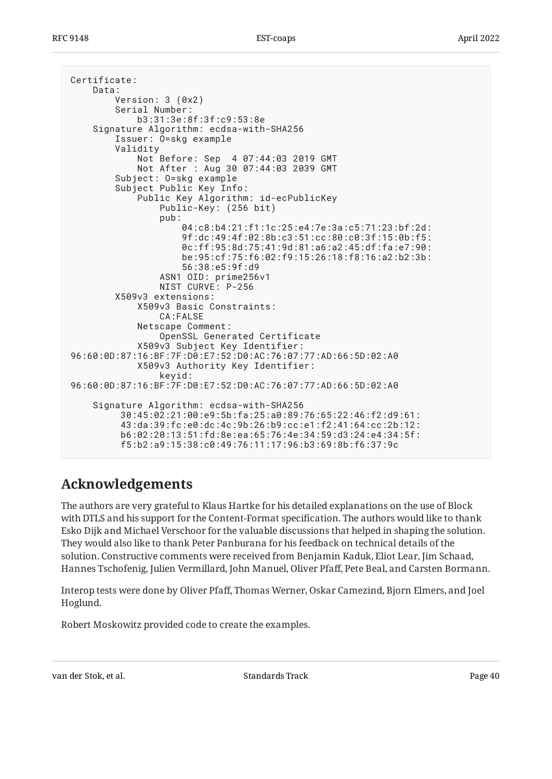```
Certificate:
     Data:
         Version: 3 (0x2)
         Serial Number:
             b3:31:3e:8f:3f:c9:53:8e
     Signature Algorithm: ecdsa-with-SHA256
         Issuer: O=skg example
         Validity
             Not Before: Sep 4 07:44:03 2019 GMT
             Not After : Aug 30 07:44:03 2039 GMT
         Subject: O=skg example
         Subject Public Key Info:
             Public Key Algorithm: id-ecPublicKey
                  Public-Key: (256 bit)
                  pub:
                      04:c8:b4:21:f1:1c:25:e4:7e:3a:c5:71:23:bf:2d:
                      9f:dc:49:4f:02:8b:c3:51:cc:80:c0:3f:15:0b:f5:
                      0c:ff:95:8d:75:41:9d:81:a6:a2:45:df:fa:e7:90:
                      be:95:cf:75:f6:02:f9:15:26:18:f8:16:a2:b2:3b:
                      56:38:e5:9f:d9
                  ASN1 OID: prime256v1
                 NIST CURVE: P-256
         X509v3 extensions:
             X509v3 Basic Constraints:
                  CA:FALSE
             Netscape Comment:
                  OpenSSL Generated Certificate
             X509v3 Subject Key Identifier:
96:60:0D:87:16:BF:7F:D0:E7:52:D0:AC:76:07:77:AD:66:5D:02:A0
             X509v3 Authority Key Identifier:
                  keyid:
96:60:0D:87:16:BF:7F:D0:E7:52:D0:AC:76:07:77:AD:66:5D:02:A0
     Signature Algorithm: ecdsa-with-SHA256
          30:45:02:21:00:e9:5b:fa:25:a0:89:76:65:22:46:f2:d9:61:
          43:da:39:fc:e0:dc:4c:9b:26:b9:cc:e1:f2:41:64:cc:2b:12:
          b6:02:20:13:51:fd:8e:ea:65:76:4e:34:59:d3:24:e4:34:5f:
          f5:b2:a9:15:38:c0:49:76:11:17:96:b3:69:8b:f6:37:9c
```
## <span id="page-39-0"></span>**[Acknowledgements](#page-39-0)**

The authors are very grateful to Klaus Hartke for his detailed explanations on the use of Block with DTLS and his support for the Content-Format specification. The authors would like to thank Esko Dijk and Michael Verschoor for the valuable discussions that helped in shaping the solution. They would also like to thank Peter Panburana for his feedback on technical details of the solution. Constructive comments were received from Benjamin Kaduk, Eliot Lear, Jim Schaad, Hannes Tschofenig, Julien Vermillard, John Manuel, Oliver Pfaff, Pete Beal, and Carsten Bormann.

Interop tests were done by Oliver Pfaff, Thomas Werner, Oskar Camezind, Bjorn Elmers, and Joel . Hoglund

Robert Moskowitz provided code to create the examples.